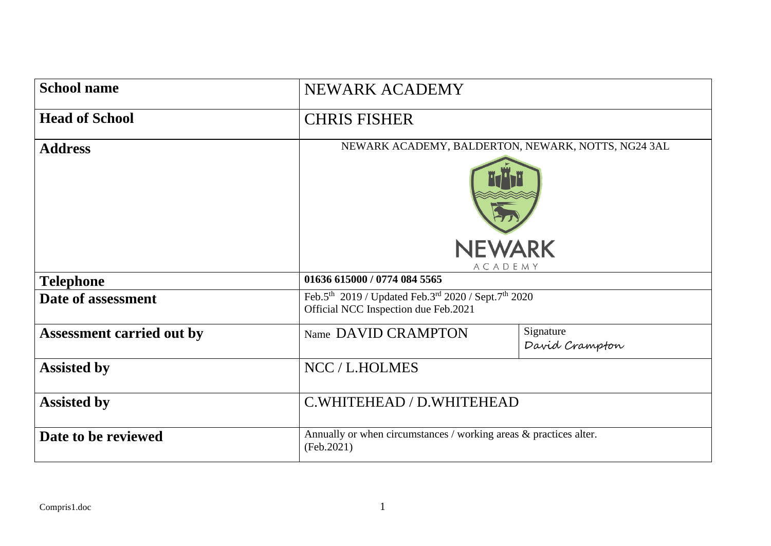| <b>School name</b>               | NEWARK ACADEMY                                                                                                                  |                             |  |  |
|----------------------------------|---------------------------------------------------------------------------------------------------------------------------------|-----------------------------|--|--|
| <b>Head of School</b>            | <b>CHRIS FISHER</b>                                                                                                             |                             |  |  |
| <b>Address</b>                   | NEWARK ACADEMY, BALDERTON, NEWARK, NOTTS, NG24 3AL                                                                              |                             |  |  |
|                                  | <b>NEWARK</b><br>ACADEMY                                                                                                        |                             |  |  |
| <b>Telephone</b>                 | 01636 615000 / 0774 084 5565                                                                                                    |                             |  |  |
| Date of assessment               | Feb.5 <sup>th</sup> 2019 / Updated Feb.3 <sup>rd</sup> 2020 / Sept.7 <sup>th</sup> 2020<br>Official NCC Inspection due Feb.2021 |                             |  |  |
| <b>Assessment carried out by</b> | Name DAVID CRAMPTON                                                                                                             | Signature<br>David Crampton |  |  |
| <b>Assisted by</b>               | NCC / L.HOLMES                                                                                                                  |                             |  |  |
| <b>Assisted by</b>               | C.WHITEHEAD / D.WHITEHEAD                                                                                                       |                             |  |  |
| Date to be reviewed              | Annually or when circumstances / working areas & practices alter.<br>(Feb.2021)                                                 |                             |  |  |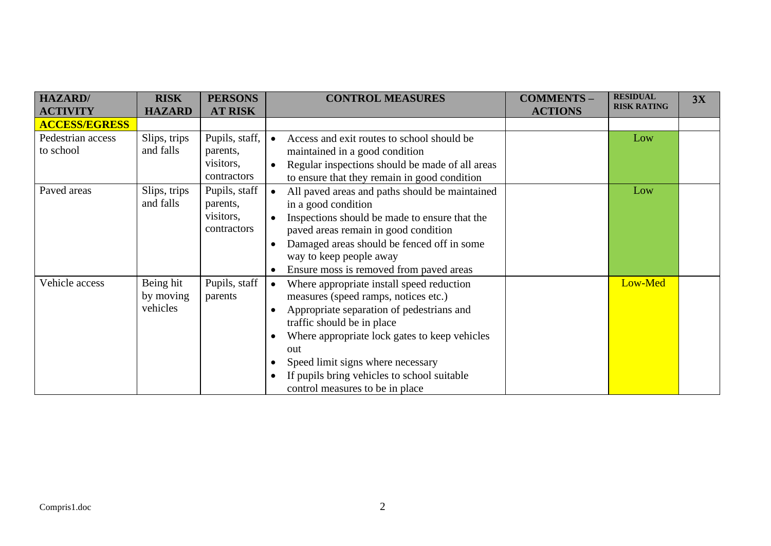| <b>HAZARD</b> /                | <b>RISK</b>                        | <b>PERSONS</b>                                                       | <b>CONTROL MEASURES</b>                                                                                                                                                                                                                                                                                                                                  | <b>COMMENTS-</b> | <b>RESIDUAL</b>    | 3X |
|--------------------------------|------------------------------------|----------------------------------------------------------------------|----------------------------------------------------------------------------------------------------------------------------------------------------------------------------------------------------------------------------------------------------------------------------------------------------------------------------------------------------------|------------------|--------------------|----|
| <b>ACTIVITY</b>                | <b>HAZARD</b>                      | <b>AT RISK</b>                                                       |                                                                                                                                                                                                                                                                                                                                                          | <b>ACTIONS</b>   | <b>RISK RATING</b> |    |
| <b>ACCESS/EGRESS</b>           |                                    |                                                                      |                                                                                                                                                                                                                                                                                                                                                          |                  |                    |    |
| Pedestrian access<br>to school | Slips, trips<br>and falls          | Pupils, staff,<br>parents,<br>visitors,                              | Access and exit routes to school should be<br>maintained in a good condition<br>Regular inspections should be made of all areas                                                                                                                                                                                                                          |                  | Low                |    |
| Paved areas                    | Slips, trips<br>and falls          | contractors<br>Pupils, staff<br>parents,<br>visitors,<br>contractors | to ensure that they remain in good condition<br>All paved areas and paths should be maintained<br>in a good condition<br>Inspections should be made to ensure that the<br>paved areas remain in good condition<br>Damaged areas should be fenced off in some<br>way to keep people away<br>Ensure moss is removed from paved areas                       |                  | Low                |    |
| Vehicle access                 | Being hit<br>by moving<br>vehicles | Pupils, staff<br>parents                                             | Where appropriate install speed reduction<br>$\bullet$<br>measures (speed ramps, notices etc.)<br>Appropriate separation of pedestrians and<br>traffic should be in place<br>Where appropriate lock gates to keep vehicles<br>out<br>Speed limit signs where necessary<br>If pupils bring vehicles to school suitable<br>control measures to be in place |                  | Low-Med            |    |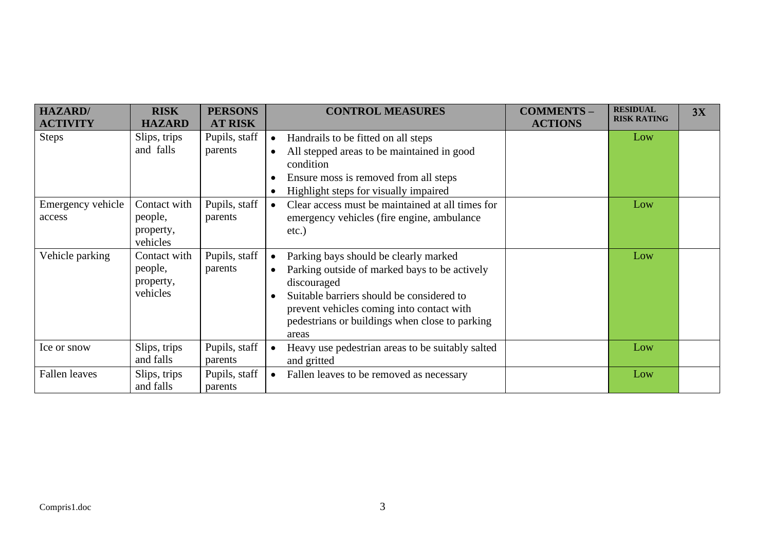| <b>HAZARD</b> /             | <b>RISK</b>                                      | <b>PERSONS</b>           | <b>CONTROL MEASURES</b><br><b>COMMENTS -</b>                                                                                                                                                                                                               | <b>RESIDUAL</b><br><b>RISK RATING</b> | 3X |
|-----------------------------|--------------------------------------------------|--------------------------|------------------------------------------------------------------------------------------------------------------------------------------------------------------------------------------------------------------------------------------------------------|---------------------------------------|----|
| <b>ACTIVITY</b>             | <b>HAZARD</b>                                    | <b>AT RISK</b>           | <b>ACTIONS</b>                                                                                                                                                                                                                                             |                                       |    |
| <b>Steps</b>                | Slips, trips<br>and falls                        | Pupils, staff<br>parents | Handrails to be fitted on all steps<br>$\bullet$<br>All stepped areas to be maintained in good<br>$\bullet$<br>condition<br>Ensure moss is removed from all steps<br>Highlight steps for visually impaired                                                 | Low                                   |    |
| Emergency vehicle<br>access | Contact with<br>people,<br>property,<br>vehicles | Pupils, staff<br>parents | Clear access must be maintained at all times for<br>$\bullet$<br>emergency vehicles (fire engine, ambulance<br>$etc.$ )                                                                                                                                    | Low                                   |    |
| Vehicle parking             | Contact with<br>people,<br>property,<br>vehicles | Pupils, staff<br>parents | Parking bays should be clearly marked<br>Parking outside of marked bays to be actively<br>discouraged<br>Suitable barriers should be considered to<br>prevent vehicles coming into contact with<br>pedestrians or buildings when close to parking<br>areas | Low                                   |    |
| Ice or snow                 | Slips, trips<br>and falls                        | Pupils, staff<br>parents | Heavy use pedestrian areas to be suitably salted<br>$\bullet$<br>and gritted                                                                                                                                                                               | Low                                   |    |
| Fallen leaves               | Slips, trips<br>and falls                        | Pupils, staff<br>parents | Fallen leaves to be removed as necessary<br>$\bullet$                                                                                                                                                                                                      | Low                                   |    |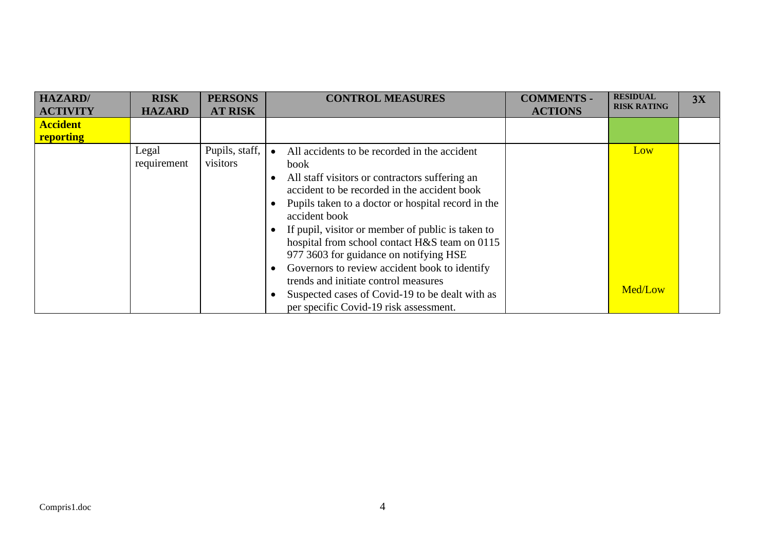| <b>HAZARD</b>   | <b>RISK</b>          | <b>PERSONS</b>             | <b>CONTROL MEASURES</b>                                                                                                                                                                                                                                                                                                                                                                                                                                                                                                                                             | <b>COMMENTS -</b> | <b>RESIDUAL</b>    | 3X |
|-----------------|----------------------|----------------------------|---------------------------------------------------------------------------------------------------------------------------------------------------------------------------------------------------------------------------------------------------------------------------------------------------------------------------------------------------------------------------------------------------------------------------------------------------------------------------------------------------------------------------------------------------------------------|-------------------|--------------------|----|
| <b>ACTIVITY</b> | <b>HAZARD</b>        | <b>AT RISK</b>             |                                                                                                                                                                                                                                                                                                                                                                                                                                                                                                                                                                     | <b>ACTIONS</b>    | <b>RISK RATING</b> |    |
| <b>Accident</b> |                      |                            |                                                                                                                                                                                                                                                                                                                                                                                                                                                                                                                                                                     |                   |                    |    |
| reporting       |                      |                            |                                                                                                                                                                                                                                                                                                                                                                                                                                                                                                                                                                     |                   |                    |    |
|                 | Legal<br>requirement | Pupils, staff,<br>visitors | All accidents to be recorded in the accident<br>book<br>All staff visitors or contractors suffering an<br>accident to be recorded in the accident book<br>Pupils taken to a doctor or hospital record in the<br>accident book<br>If pupil, visitor or member of public is taken to<br>hospital from school contact H&S team on 0115<br>977 3603 for guidance on notifying HSE<br>Governors to review accident book to identify<br>trends and initiate control measures<br>Suspected cases of Covid-19 to be dealt with as<br>per specific Covid-19 risk assessment. |                   | Low<br>Med/Low     |    |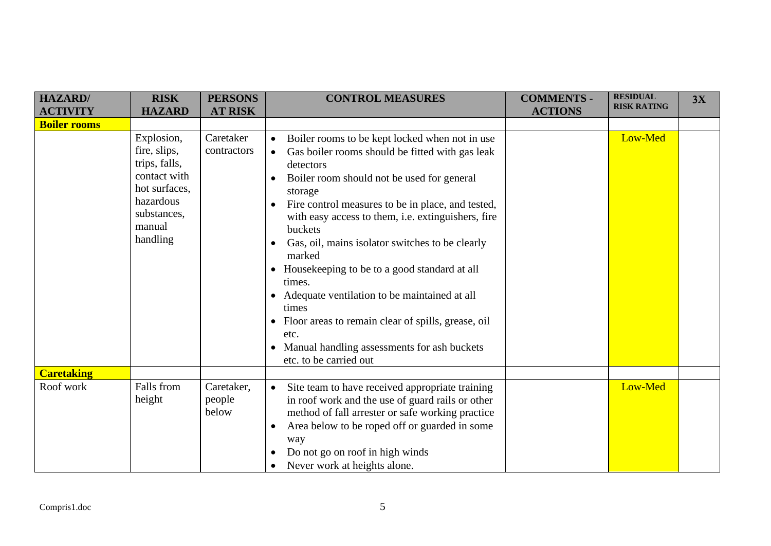| <b>HAZARD</b> /     | <b>RISK</b>                                                                                                                    | <b>PERSONS</b>                | <b>CONTROL MEASURES</b>                                                                                                                                                                                                                                                                                                                                                                                                                                                                                                                                                                                                                                | <b>COMMENTS -</b> | <b>RESIDUAL</b>    | 3X |
|---------------------|--------------------------------------------------------------------------------------------------------------------------------|-------------------------------|--------------------------------------------------------------------------------------------------------------------------------------------------------------------------------------------------------------------------------------------------------------------------------------------------------------------------------------------------------------------------------------------------------------------------------------------------------------------------------------------------------------------------------------------------------------------------------------------------------------------------------------------------------|-------------------|--------------------|----|
| <b>ACTIVITY</b>     | <b>HAZARD</b>                                                                                                                  | <b>AT RISK</b>                |                                                                                                                                                                                                                                                                                                                                                                                                                                                                                                                                                                                                                                                        | <b>ACTIONS</b>    | <b>RISK RATING</b> |    |
| <b>Boiler rooms</b> |                                                                                                                                |                               |                                                                                                                                                                                                                                                                                                                                                                                                                                                                                                                                                                                                                                                        |                   |                    |    |
|                     | Explosion,<br>fire, slips,<br>trips, falls,<br>contact with<br>hot surfaces,<br>hazardous<br>substances,<br>manual<br>handling | Caretaker<br>contractors      | Boiler rooms to be kept locked when not in use<br>Gas boiler rooms should be fitted with gas leak<br>$\bullet$<br>detectors<br>Boiler room should not be used for general<br>storage<br>Fire control measures to be in place, and tested,<br>$\bullet$<br>with easy access to them, i.e. extinguishers, fire<br>buckets<br>Gas, oil, mains isolator switches to be clearly<br>marked<br>• Housekeeping to be to a good standard at all<br>times.<br>• Adequate ventilation to be maintained at all<br>times<br>• Floor areas to remain clear of spills, grease, oil<br>etc.<br>• Manual handling assessments for ash buckets<br>etc. to be carried out |                   | Low-Med            |    |
| <b>Caretaking</b>   |                                                                                                                                |                               |                                                                                                                                                                                                                                                                                                                                                                                                                                                                                                                                                                                                                                                        |                   |                    |    |
| Roof work           | Falls from<br>height                                                                                                           | Caretaker,<br>people<br>below | Site team to have received appropriate training<br>$\bullet$<br>in roof work and the use of guard rails or other<br>method of fall arrester or safe working practice<br>Area below to be roped off or guarded in some<br>way<br>Do not go on roof in high winds<br>Never work at heights alone.                                                                                                                                                                                                                                                                                                                                                        |                   | Low-Med            |    |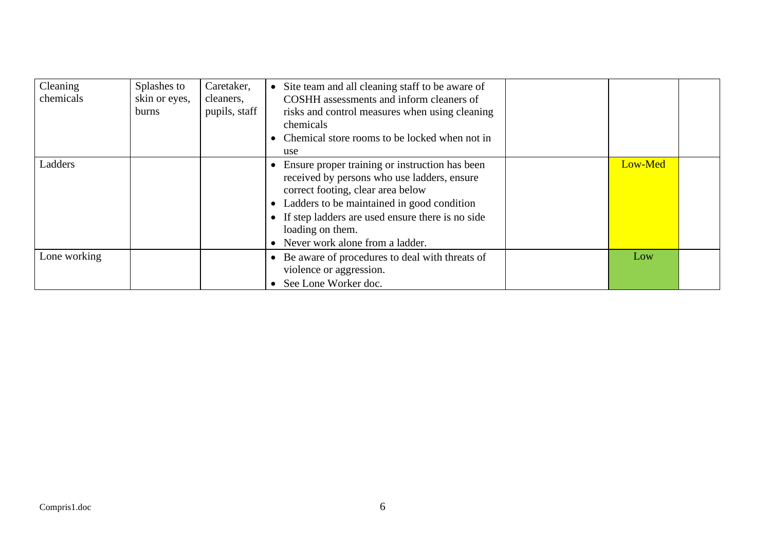| Cleaning<br>chemicals | Splashes to<br>skin or eyes,<br><b>burns</b> | Caretaker,<br>cleaners,<br>pupils, staff | Site team and all cleaning staff to be aware of<br>COSHH assessments and inform cleaners of<br>risks and control measures when using cleaning<br>chemicals<br>Chemical store rooms to be locked when not in<br>use                                                                              |         |  |
|-----------------------|----------------------------------------------|------------------------------------------|-------------------------------------------------------------------------------------------------------------------------------------------------------------------------------------------------------------------------------------------------------------------------------------------------|---------|--|
| Ladders               |                                              |                                          | Ensure proper training or instruction has been<br>received by persons who use ladders, ensure<br>correct footing, clear area below<br>Ladders to be maintained in good condition<br>• If step ladders are used ensure there is no side<br>loading on them.<br>• Never work alone from a ladder. | Low-Med |  |
| Lone working          |                                              |                                          | • Be aware of procedures to deal with threats of<br>violence or aggression.<br>• See Lone Worker doc.                                                                                                                                                                                           | Low     |  |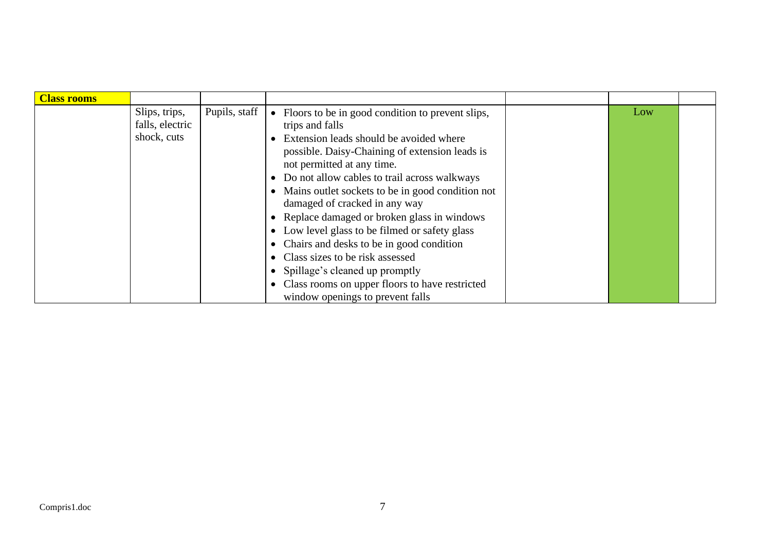| <b>Class rooms</b> |                 |               |                                                    |     |  |
|--------------------|-----------------|---------------|----------------------------------------------------|-----|--|
|                    | Slips, trips,   | Pupils, staff | • Floors to be in good condition to prevent slips, | Low |  |
|                    | falls, electric |               | trips and falls                                    |     |  |
|                    | shock, cuts     |               | Extension leads should be avoided where            |     |  |
|                    |                 |               | possible. Daisy-Chaining of extension leads is     |     |  |
|                    |                 |               | not permitted at any time.                         |     |  |
|                    |                 |               | • Do not allow cables to trail across walkways     |     |  |
|                    |                 |               | • Mains outlet sockets to be in good condition not |     |  |
|                    |                 |               | damaged of cracked in any way                      |     |  |
|                    |                 |               | • Replace damaged or broken glass in windows       |     |  |
|                    |                 |               | • Low level glass to be filmed or safety glass     |     |  |
|                    |                 |               | • Chairs and desks to be in good condition         |     |  |
|                    |                 |               | • Class sizes to be risk assessed                  |     |  |
|                    |                 |               | • Spillage's cleaned up promptly                   |     |  |
|                    |                 |               | • Class rooms on upper floors to have restricted   |     |  |
|                    |                 |               | window openings to prevent falls                   |     |  |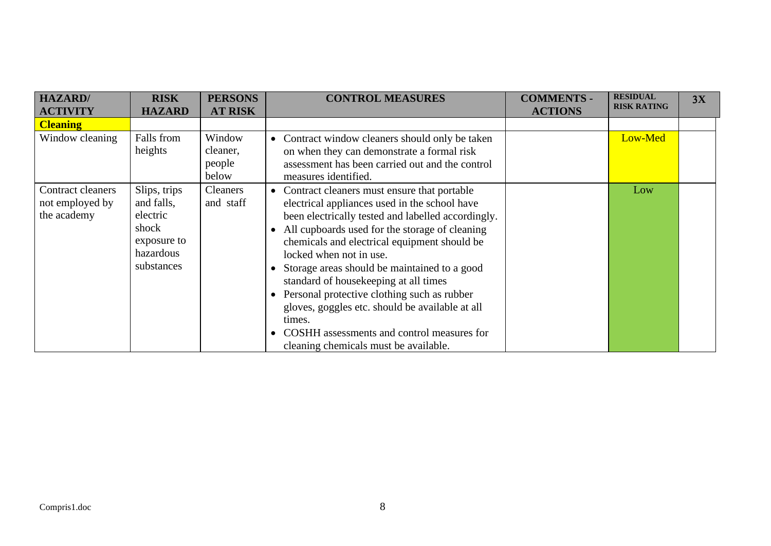| <b>HAZARD</b> /                                            | <b>RISK</b>                                                                               | <b>PERSONS</b>                        | <b>CONTROL MEASURES</b>                                                                                                                                                                                                                                                                                                                                                                                                                                                                                                                                                                  | <b>COMMENTS -</b> | <b>RESIDUAL</b>    | 3X |
|------------------------------------------------------------|-------------------------------------------------------------------------------------------|---------------------------------------|------------------------------------------------------------------------------------------------------------------------------------------------------------------------------------------------------------------------------------------------------------------------------------------------------------------------------------------------------------------------------------------------------------------------------------------------------------------------------------------------------------------------------------------------------------------------------------------|-------------------|--------------------|----|
| <b>ACTIVITY</b>                                            | <b>HAZARD</b>                                                                             | <b>AT RISK</b>                        |                                                                                                                                                                                                                                                                                                                                                                                                                                                                                                                                                                                          | <b>ACTIONS</b>    | <b>RISK RATING</b> |    |
| <b>Cleaning</b>                                            |                                                                                           |                                       |                                                                                                                                                                                                                                                                                                                                                                                                                                                                                                                                                                                          |                   |                    |    |
| Window cleaning                                            | Falls from<br>heights                                                                     | Window<br>cleaner,<br>people<br>below | Contract window cleaners should only be taken<br>$\bullet$<br>on when they can demonstrate a formal risk<br>assessment has been carried out and the control<br>measures identified.                                                                                                                                                                                                                                                                                                                                                                                                      |                   | Low-Med            |    |
| <b>Contract cleaners</b><br>not employed by<br>the academy | Slips, trips<br>and falls,<br>electric<br>shock<br>exposure to<br>hazardous<br>substances | Cleaners<br>and staff                 | Contract cleaners must ensure that portable<br>$\bullet$<br>electrical appliances used in the school have<br>been electrically tested and labelled accordingly.<br>All cupboards used for the storage of cleaning<br>chemicals and electrical equipment should be<br>locked when not in use.<br>Storage areas should be maintained to a good<br>standard of housekeeping at all times<br>Personal protective clothing such as rubber<br>gloves, goggles etc. should be available at all<br>times.<br>COSHH assessments and control measures for<br>cleaning chemicals must be available. |                   | Low                |    |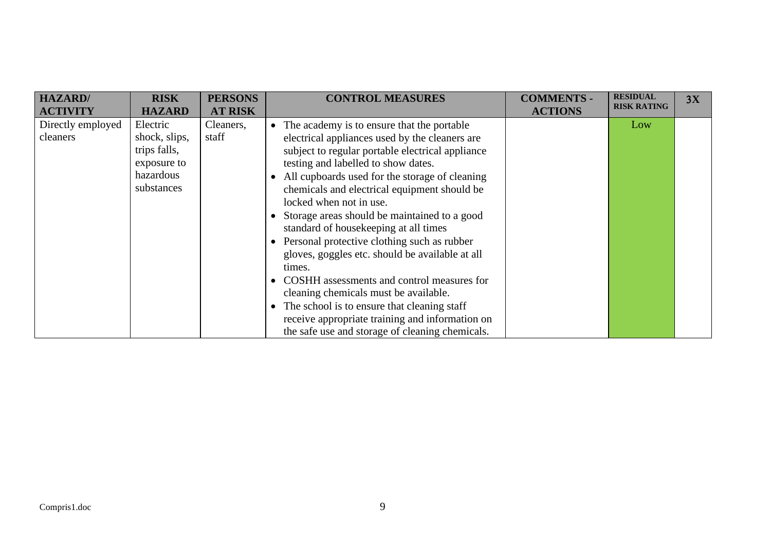| <b>HAZARD</b> /                                  | <b>RISK</b>                                                                                          | <b>PERSONS</b>                       | <b>CONTROL MEASURES</b>                                                                                                                                                                                                                                                                                                                                                                                                                                                                                                                                                                                                                                                                                | <b>COMMENTS -</b> | <b>RESIDUAL</b>           | 3X |
|--------------------------------------------------|------------------------------------------------------------------------------------------------------|--------------------------------------|--------------------------------------------------------------------------------------------------------------------------------------------------------------------------------------------------------------------------------------------------------------------------------------------------------------------------------------------------------------------------------------------------------------------------------------------------------------------------------------------------------------------------------------------------------------------------------------------------------------------------------------------------------------------------------------------------------|-------------------|---------------------------|----|
|                                                  |                                                                                                      |                                      |                                                                                                                                                                                                                                                                                                                                                                                                                                                                                                                                                                                                                                                                                                        |                   |                           |    |
| <b>ACTIVITY</b><br>Directly employed<br>cleaners | <b>HAZARD</b><br>Electric<br>shock, slips,<br>trips falls,<br>exposure to<br>hazardous<br>substances | <b>AT RISK</b><br>Cleaners,<br>staff | The academy is to ensure that the portable<br>$\bullet$<br>electrical appliances used by the cleaners are<br>subject to regular portable electrical appliance<br>testing and labelled to show dates.<br>All cupboards used for the storage of cleaning<br>chemicals and electrical equipment should be<br>locked when not in use.<br>Storage areas should be maintained to a good<br>standard of housekeeping at all times<br>Personal protective clothing such as rubber<br>gloves, goggles etc. should be available at all<br>times.<br>COSHH assessments and control measures for<br>$\bullet$<br>cleaning chemicals must be available.<br>The school is to ensure that cleaning staff<br>$\bullet$ | <b>ACTIONS</b>    | <b>RISK RATING</b><br>Low |    |
|                                                  |                                                                                                      |                                      | receive appropriate training and information on<br>the safe use and storage of cleaning chemicals.                                                                                                                                                                                                                                                                                                                                                                                                                                                                                                                                                                                                     |                   |                           |    |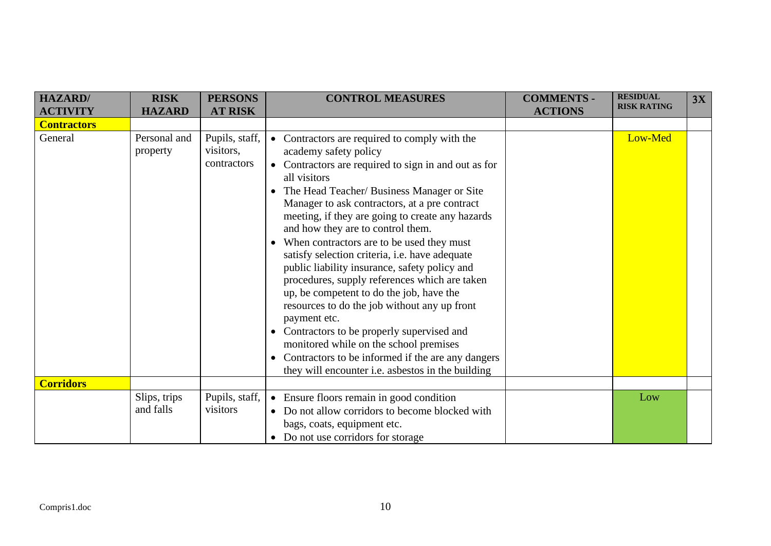| <b>HAZARD/</b>     | <b>RISK</b>               | <b>PERSONS</b>                             | <b>CONTROL MEASURES</b>                                                                                                                                                                                                                                                                                                                                                                                                                                                                                                                                                                                                                                                                                                                                                                                                                                         | <b>COMMENTS -</b> | <b>RESIDUAL</b><br><b>RISK RATING</b> | 3X |
|--------------------|---------------------------|--------------------------------------------|-----------------------------------------------------------------------------------------------------------------------------------------------------------------------------------------------------------------------------------------------------------------------------------------------------------------------------------------------------------------------------------------------------------------------------------------------------------------------------------------------------------------------------------------------------------------------------------------------------------------------------------------------------------------------------------------------------------------------------------------------------------------------------------------------------------------------------------------------------------------|-------------------|---------------------------------------|----|
| <b>ACTIVITY</b>    | <b>HAZARD</b>             | <b>AT RISK</b>                             |                                                                                                                                                                                                                                                                                                                                                                                                                                                                                                                                                                                                                                                                                                                                                                                                                                                                 | <b>ACTIONS</b>    |                                       |    |
| <b>Contractors</b> |                           |                                            |                                                                                                                                                                                                                                                                                                                                                                                                                                                                                                                                                                                                                                                                                                                                                                                                                                                                 |                   |                                       |    |
| General            | Personal and<br>property  | Pupils, staff,<br>visitors,<br>contractors | • Contractors are required to comply with the<br>academy safety policy<br>Contractors are required to sign in and out as for<br>$\bullet$<br>all visitors<br>The Head Teacher/ Business Manager or Site<br>Manager to ask contractors, at a pre contract<br>meeting, if they are going to create any hazards<br>and how they are to control them.<br>When contractors are to be used they must<br>satisfy selection criteria, i.e. have adequate<br>public liability insurance, safety policy and<br>procedures, supply references which are taken<br>up, be competent to do the job, have the<br>resources to do the job without any up front<br>payment etc.<br>Contractors to be properly supervised and<br>monitored while on the school premises<br>Contractors to be informed if the are any dangers<br>they will encounter i.e. asbestos in the building |                   | Low-Med                               |    |
| <b>Corridors</b>   |                           |                                            |                                                                                                                                                                                                                                                                                                                                                                                                                                                                                                                                                                                                                                                                                                                                                                                                                                                                 |                   |                                       |    |
|                    | Slips, trips<br>and falls | Pupils, staff,<br>visitors                 | • Ensure floors remain in good condition<br>• Do not allow corridors to become blocked with<br>bags, coats, equipment etc.<br>• Do not use corridors for storage                                                                                                                                                                                                                                                                                                                                                                                                                                                                                                                                                                                                                                                                                                |                   | Low                                   |    |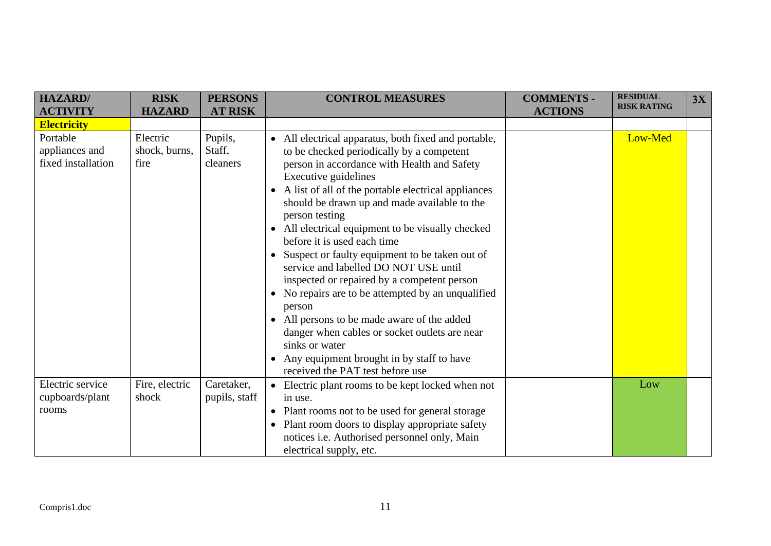| <b>HAZARD</b> /<br><b>ACTIVITY</b>               | <b>RISK</b><br><b>HAZARD</b>      | <b>PERSONS</b><br><b>AT RISK</b> | <b>CONTROL MEASURES</b>                                                                                                                                                                                                                                                                                                                                                                                                                                                                                                                                                                                                                                                                                                                                                                                                                            | <b>COMMENTS -</b><br><b>ACTIONS</b> | <b>RESIDUAL</b><br><b>RISK RATING</b> | 3X |
|--------------------------------------------------|-----------------------------------|----------------------------------|----------------------------------------------------------------------------------------------------------------------------------------------------------------------------------------------------------------------------------------------------------------------------------------------------------------------------------------------------------------------------------------------------------------------------------------------------------------------------------------------------------------------------------------------------------------------------------------------------------------------------------------------------------------------------------------------------------------------------------------------------------------------------------------------------------------------------------------------------|-------------------------------------|---------------------------------------|----|
| <b>Electricity</b>                               |                                   |                                  |                                                                                                                                                                                                                                                                                                                                                                                                                                                                                                                                                                                                                                                                                                                                                                                                                                                    |                                     |                                       |    |
| Portable<br>appliances and<br>fixed installation | Electric<br>shock, burns,<br>fire | Pupils,<br>Staff,<br>cleaners    | • All electrical apparatus, both fixed and portable,<br>to be checked periodically by a competent<br>person in accordance with Health and Safety<br>Executive guidelines<br>• A list of all of the portable electrical appliances<br>should be drawn up and made available to the<br>person testing<br>All electrical equipment to be visually checked<br>$\bullet$<br>before it is used each time<br>Suspect or faulty equipment to be taken out of<br>$\bullet$<br>service and labelled DO NOT USE until<br>inspected or repaired by a competent person<br>No repairs are to be attempted by an unqualified<br>$\bullet$<br>person<br>All persons to be made aware of the added<br>$\bullet$<br>danger when cables or socket outlets are near<br>sinks or water<br>Any equipment brought in by staff to have<br>received the PAT test before use |                                     | Low-Med                               |    |
| Electric service<br>cupboards/plant<br>rooms     | Fire, electric<br>shock           | Caretaker,<br>pupils, staff      | • Electric plant rooms to be kept locked when not<br>in use.<br>• Plant rooms not to be used for general storage<br>Plant room doors to display appropriate safety<br>$\bullet$<br>notices i.e. Authorised personnel only, Main<br>electrical supply, etc.                                                                                                                                                                                                                                                                                                                                                                                                                                                                                                                                                                                         |                                     | Low                                   |    |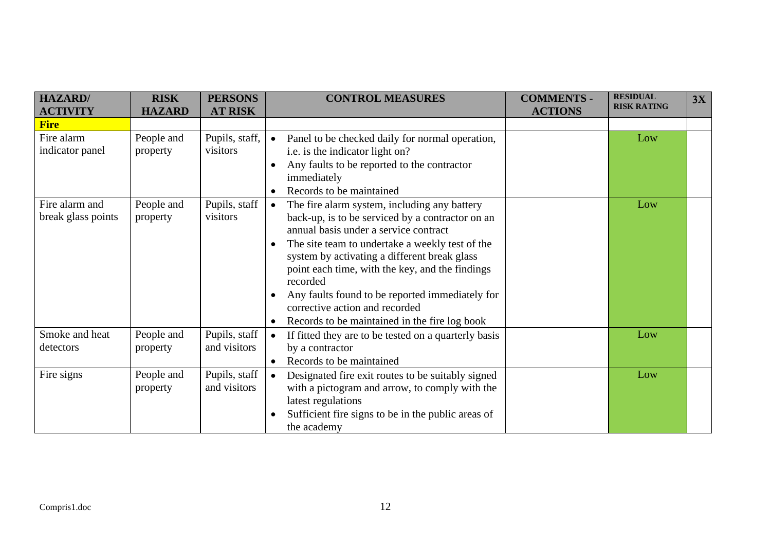| <b>HAZARD/</b><br><b>ACTIVITY</b>    | <b>RISK</b><br><b>HAZARD</b> | <b>PERSONS</b><br><b>AT RISK</b> | <b>CONTROL MEASURES</b>                                                                                                                                                                                                                                                                                                                                                                                                                                                                               | <b>COMMENTS -</b><br><b>ACTIONS</b> | <b>RESIDUAL</b><br><b>RISK RATING</b> | 3X |
|--------------------------------------|------------------------------|----------------------------------|-------------------------------------------------------------------------------------------------------------------------------------------------------------------------------------------------------------------------------------------------------------------------------------------------------------------------------------------------------------------------------------------------------------------------------------------------------------------------------------------------------|-------------------------------------|---------------------------------------|----|
| <b>Fire</b>                          |                              |                                  |                                                                                                                                                                                                                                                                                                                                                                                                                                                                                                       |                                     |                                       |    |
| Fire alarm<br>indicator panel        | People and<br>property       | Pupils, staff,<br>visitors       | Panel to be checked daily for normal operation,<br>$\bullet$<br>i.e. is the indicator light on?<br>Any faults to be reported to the contractor<br>$\bullet$<br>immediately<br>Records to be maintained<br>$\bullet$                                                                                                                                                                                                                                                                                   |                                     | Low                                   |    |
| Fire alarm and<br>break glass points | People and<br>property       | Pupils, staff<br>visitors        | The fire alarm system, including any battery<br>$\bullet$<br>back-up, is to be serviced by a contractor on an<br>annual basis under a service contract<br>The site team to undertake a weekly test of the<br>$\bullet$<br>system by activating a different break glass<br>point each time, with the key, and the findings<br>recorded<br>Any faults found to be reported immediately for<br>$\bullet$<br>corrective action and recorded<br>Records to be maintained in the fire log book<br>$\bullet$ |                                     | Low                                   |    |
| Smoke and heat<br>detectors          | People and<br>property       | Pupils, staff<br>and visitors    | If fitted they are to be tested on a quarterly basis<br>$\bullet$<br>by a contractor<br>Records to be maintained<br>$\bullet$                                                                                                                                                                                                                                                                                                                                                                         |                                     | Low                                   |    |
| Fire signs                           | People and<br>property       | Pupils, staff<br>and visitors    | Designated fire exit routes to be suitably signed<br>$\bullet$<br>with a pictogram and arrow, to comply with the<br>latest regulations<br>Sufficient fire signs to be in the public areas of<br>$\bullet$<br>the academy                                                                                                                                                                                                                                                                              |                                     | Low                                   |    |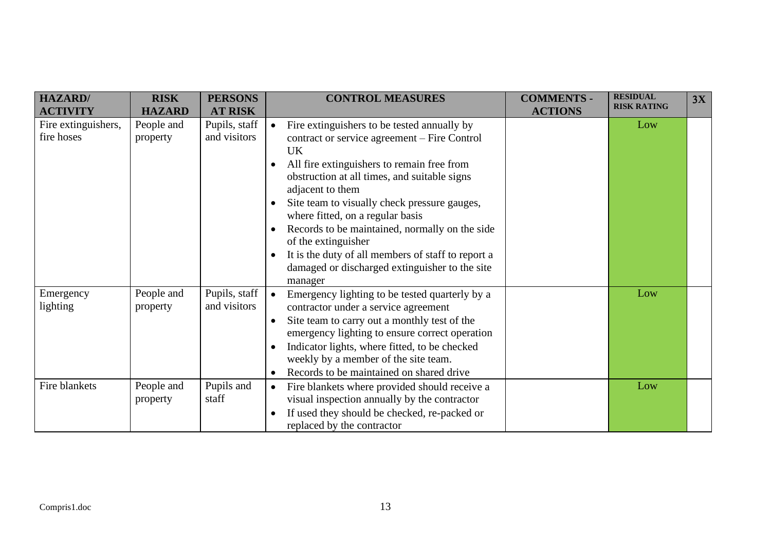| HAZARD/             | <b>RISK</b>   | <b>PERSONS</b> | <b>CONTROL MEASURES</b>                                         | <b>COMMENTS -</b> | <b>RESIDUAL</b><br><b>RISK RATING</b> | 3X |
|---------------------|---------------|----------------|-----------------------------------------------------------------|-------------------|---------------------------------------|----|
| <b>ACTIVITY</b>     | <b>HAZARD</b> | <b>AT RISK</b> |                                                                 | <b>ACTIONS</b>    |                                       |    |
| Fire extinguishers, | People and    | Pupils, staff  | Fire extinguishers to be tested annually by<br>$\bullet$        |                   | Low                                   |    |
| fire hoses          | property      | and visitors   | contract or service agreement – Fire Control                    |                   |                                       |    |
|                     |               |                | <b>UK</b>                                                       |                   |                                       |    |
|                     |               |                | All fire extinguishers to remain free from<br>$\bullet$         |                   |                                       |    |
|                     |               |                | obstruction at all times, and suitable signs                    |                   |                                       |    |
|                     |               |                | adjacent to them                                                |                   |                                       |    |
|                     |               |                | Site team to visually check pressure gauges,<br>$\bullet$       |                   |                                       |    |
|                     |               |                | where fitted, on a regular basis                                |                   |                                       |    |
|                     |               |                | Records to be maintained, normally on the side<br>$\bullet$     |                   |                                       |    |
|                     |               |                | of the extinguisher                                             |                   |                                       |    |
|                     |               |                | It is the duty of all members of staff to report a<br>$\bullet$ |                   |                                       |    |
|                     |               |                | damaged or discharged extinguisher to the site                  |                   |                                       |    |
|                     |               |                | manager                                                         |                   |                                       |    |
| Emergency           | People and    | Pupils, staff  | $\bullet$<br>Emergency lighting to be tested quarterly by a     |                   | Low                                   |    |
| lighting            | property      | and visitors   | contractor under a service agreement                            |                   |                                       |    |
|                     |               |                | Site team to carry out a monthly test of the<br>$\bullet$       |                   |                                       |    |
|                     |               |                | emergency lighting to ensure correct operation                  |                   |                                       |    |
|                     |               |                | Indicator lights, where fitted, to be checked<br>$\bullet$      |                   |                                       |    |
|                     |               |                | weekly by a member of the site team.                            |                   |                                       |    |
|                     |               |                | Records to be maintained on shared drive<br>$\bullet$           |                   |                                       |    |
| Fire blankets       | People and    | Pupils and     | Fire blankets where provided should receive a<br>$\bullet$      |                   | Low                                   |    |
|                     | property      | staff          | visual inspection annually by the contractor                    |                   |                                       |    |
|                     |               |                | If used they should be checked, re-packed or<br>$\bullet$       |                   |                                       |    |
|                     |               |                | replaced by the contractor                                      |                   |                                       |    |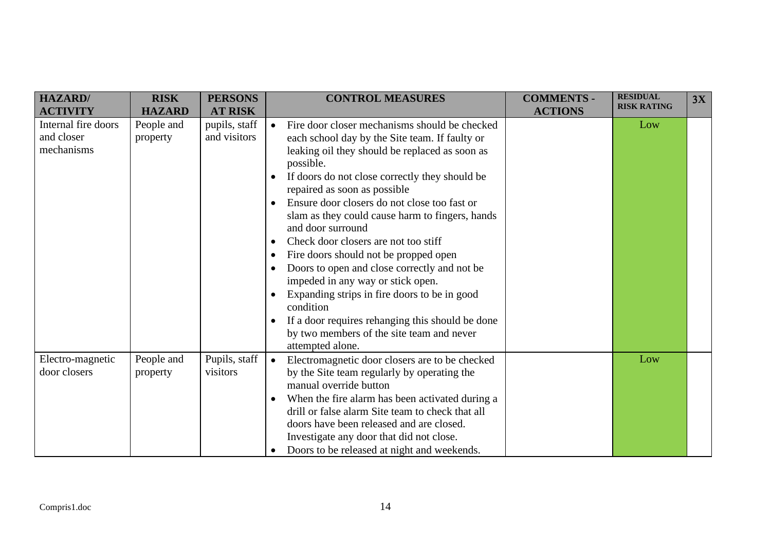| <b>HAZARD/</b>      | <b>RISK</b>   | <b>PERSONS</b> | <b>CONTROL MEASURES</b>                                      | <b>COMMENTS -</b> | <b>RESIDUAL</b><br><b>RISK RATING</b> | 3X |
|---------------------|---------------|----------------|--------------------------------------------------------------|-------------------|---------------------------------------|----|
| <b>ACTIVITY</b>     | <b>HAZARD</b> | <b>AT RISK</b> |                                                              | <b>ACTIONS</b>    |                                       |    |
| Internal fire doors | People and    | pupils, staff  | Fire door closer mechanisms should be checked<br>$\bullet$   |                   | Low                                   |    |
| and closer          | property      | and visitors   | each school day by the Site team. If faulty or               |                   |                                       |    |
| mechanisms          |               |                | leaking oil they should be replaced as soon as               |                   |                                       |    |
|                     |               |                | possible.                                                    |                   |                                       |    |
|                     |               |                | If doors do not close correctly they should be<br>$\bullet$  |                   |                                       |    |
|                     |               |                | repaired as soon as possible                                 |                   |                                       |    |
|                     |               |                | Ensure door closers do not close too fast or                 |                   |                                       |    |
|                     |               |                | slam as they could cause harm to fingers, hands              |                   |                                       |    |
|                     |               |                | and door surround                                            |                   |                                       |    |
|                     |               |                | Check door closers are not too stiff                         |                   |                                       |    |
|                     |               |                | Fire doors should not be propped open<br>$\bullet$           |                   |                                       |    |
|                     |               |                | Doors to open and close correctly and not be                 |                   |                                       |    |
|                     |               |                | impeded in any way or stick open.                            |                   |                                       |    |
|                     |               |                | Expanding strips in fire doors to be in good<br>$\bullet$    |                   |                                       |    |
|                     |               |                | condition                                                    |                   |                                       |    |
|                     |               |                | If a door requires rehanging this should be done             |                   |                                       |    |
|                     |               |                | by two members of the site team and never                    |                   |                                       |    |
|                     |               |                | attempted alone.                                             |                   |                                       |    |
| Electro-magnetic    | People and    | Pupils, staff  | Electromagnetic door closers are to be checked<br>$\bullet$  |                   | Low                                   |    |
| door closers        | property      | visitors       | by the Site team regularly by operating the                  |                   |                                       |    |
|                     |               |                | manual override button                                       |                   |                                       |    |
|                     |               |                | When the fire alarm has been activated during a<br>$\bullet$ |                   |                                       |    |
|                     |               |                | drill or false alarm Site team to check that all             |                   |                                       |    |
|                     |               |                | doors have been released and are closed.                     |                   |                                       |    |
|                     |               |                | Investigate any door that did not close.                     |                   |                                       |    |
|                     |               |                | Doors to be released at night and weekends.<br>$\bullet$     |                   |                                       |    |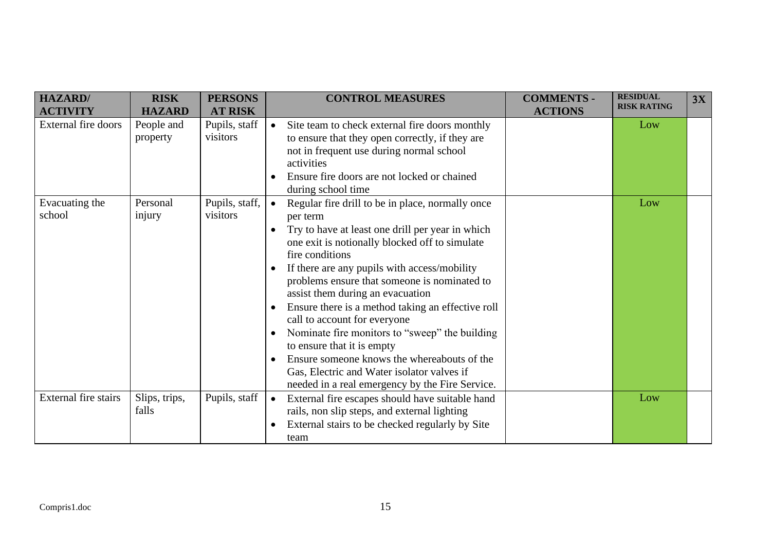| <b>HAZARD</b><br><b>ACTIVITY</b> | <b>RISK</b><br><b>HAZARD</b> | <b>PERSONS</b><br><b>AT RISK</b> | <b>CONTROL MEASURES</b>                                                                                                                                                                                                                                                                                                                                                                                                                                                                                                                                                                                                                                                                                                      | <b>COMMENTS -</b><br><b>ACTIONS</b> | <b>RESIDUAL</b><br><b>RISK RATING</b> | 3X |
|----------------------------------|------------------------------|----------------------------------|------------------------------------------------------------------------------------------------------------------------------------------------------------------------------------------------------------------------------------------------------------------------------------------------------------------------------------------------------------------------------------------------------------------------------------------------------------------------------------------------------------------------------------------------------------------------------------------------------------------------------------------------------------------------------------------------------------------------------|-------------------------------------|---------------------------------------|----|
| <b>External fire doors</b>       | People and<br>property       | Pupils, staff<br>visitors        | Site team to check external fire doors monthly<br>$\bullet$<br>to ensure that they open correctly, if they are<br>not in frequent use during normal school<br>activities<br>Ensure fire doors are not locked or chained<br>$\bullet$<br>during school time                                                                                                                                                                                                                                                                                                                                                                                                                                                                   |                                     | Low                                   |    |
| Evacuating the<br>school         | Personal<br>injury           | Pupils, staff,<br>visitors       | Regular fire drill to be in place, normally once<br>$\bullet$<br>per term<br>Try to have at least one drill per year in which<br>$\bullet$<br>one exit is notionally blocked off to simulate<br>fire conditions<br>If there are any pupils with access/mobility<br>$\bullet$<br>problems ensure that someone is nominated to<br>assist them during an evacuation<br>Ensure there is a method taking an effective roll<br>$\bullet$<br>call to account for everyone<br>Nominate fire monitors to "sweep" the building<br>$\bullet$<br>to ensure that it is empty<br>Ensure someone knows the whereabouts of the<br>$\bullet$<br>Gas, Electric and Water isolator valves if<br>needed in a real emergency by the Fire Service. |                                     | Low                                   |    |
| External fire stairs             | Slips, trips,<br>falls       | Pupils, staff                    | External fire escapes should have suitable hand<br>$\bullet$<br>rails, non slip steps, and external lighting<br>External stairs to be checked regularly by Site<br>$\bullet$<br>team                                                                                                                                                                                                                                                                                                                                                                                                                                                                                                                                         |                                     | Low                                   |    |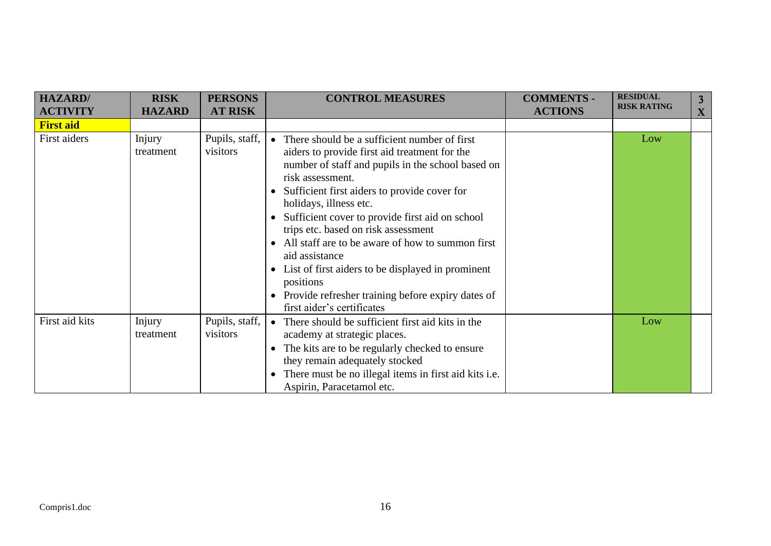| <b>HAZARD</b> /  | <b>RISK</b>         | <b>PERSONS</b>             | <b>CONTROL MEASURES</b>                                                                                                                                                                                                                                                                                                                                                                                                                                                                                                                                                              | <b>COMMENTS -</b> | <b>RESIDUAL</b>    | 3 <sup>1</sup> |
|------------------|---------------------|----------------------------|--------------------------------------------------------------------------------------------------------------------------------------------------------------------------------------------------------------------------------------------------------------------------------------------------------------------------------------------------------------------------------------------------------------------------------------------------------------------------------------------------------------------------------------------------------------------------------------|-------------------|--------------------|----------------|
| <b>ACTIVITY</b>  | <b>HAZARD</b>       | <b>AT RISK</b>             |                                                                                                                                                                                                                                                                                                                                                                                                                                                                                                                                                                                      | <b>ACTIONS</b>    | <b>RISK RATING</b> | X              |
| <b>First aid</b> |                     |                            |                                                                                                                                                                                                                                                                                                                                                                                                                                                                                                                                                                                      |                   |                    |                |
| First aiders     | Injury<br>treatment | Pupils, staff,<br>visitors | • There should be a sufficient number of first<br>aiders to provide first aid treatment for the<br>number of staff and pupils in the school based on<br>risk assessment.<br>Sufficient first aiders to provide cover for<br>holidays, illness etc.<br>Sufficient cover to provide first aid on school<br>trips etc. based on risk assessment<br>All staff are to be aware of how to summon first<br>$\bullet$<br>aid assistance<br>List of first aiders to be displayed in prominent<br>positions<br>Provide refresher training before expiry dates of<br>first aider's certificates |                   | Low                |                |
| First aid kits   | Injury<br>treatment | Pupils, staff,<br>visitors | There should be sufficient first aid kits in the<br>$\bullet$<br>academy at strategic places.<br>The kits are to be regularly checked to ensure<br>they remain adequately stocked<br>There must be no illegal items in first aid kits i.e.<br>Aspirin, Paracetamol etc.                                                                                                                                                                                                                                                                                                              |                   | Low                |                |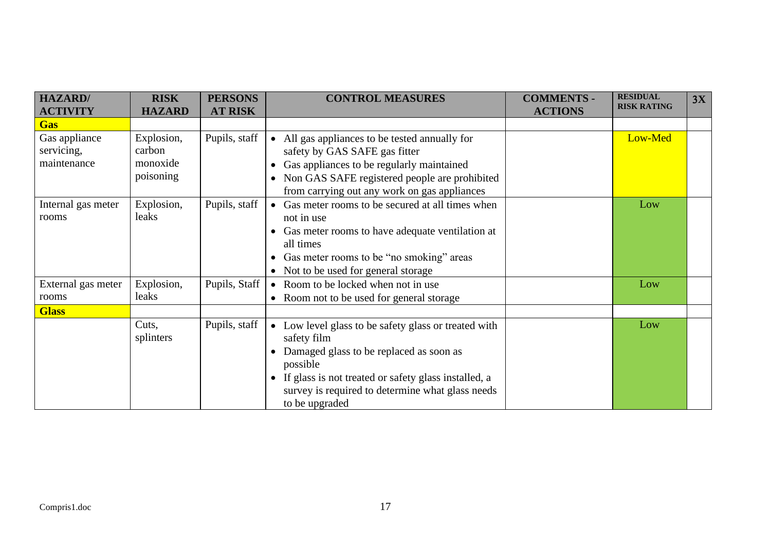| <b>HAZARD</b> /    | <b>RISK</b>   | <b>PERSONS</b> | <b>CONTROL MEASURES</b>                                           | <b>COMMENTS -</b> | <b>RESIDUAL</b>    | 3X |
|--------------------|---------------|----------------|-------------------------------------------------------------------|-------------------|--------------------|----|
| <b>ACTIVITY</b>    | <b>HAZARD</b> | <b>AT RISK</b> |                                                                   | <b>ACTIONS</b>    | <b>RISK RATING</b> |    |
| <b>Gas</b>         |               |                |                                                                   |                   |                    |    |
| Gas appliance      | Explosion,    | Pupils, staff  | • All gas appliances to be tested annually for                    |                   | Low-Med            |    |
| servicing,         | carbon        |                | safety by GAS SAFE gas fitter                                     |                   |                    |    |
| maintenance        | monoxide      |                | Gas appliances to be regularly maintained                         |                   |                    |    |
|                    | poisoning     |                | Non GAS SAFE registered people are prohibited                     |                   |                    |    |
|                    |               |                | from carrying out any work on gas appliances                      |                   |                    |    |
| Internal gas meter | Explosion,    | Pupils, staff  | • Gas meter rooms to be secured at all times when                 |                   | Low                |    |
| rooms              | leaks         |                | not in use                                                        |                   |                    |    |
|                    |               |                | Gas meter rooms to have adequate ventilation at                   |                   |                    |    |
|                    |               |                | all times                                                         |                   |                    |    |
|                    |               |                | Gas meter rooms to be "no smoking" areas                          |                   |                    |    |
|                    |               |                | • Not to be used for general storage                              |                   |                    |    |
| External gas meter | Explosion,    | Pupils, Staff  | • Room to be locked when not in use                               |                   | Low                |    |
| rooms              | leaks         |                | • Room not to be used for general storage                         |                   |                    |    |
| <b>Glass</b>       |               |                |                                                                   |                   |                    |    |
|                    | Cuts,         | Pupils, staff  | • Low level glass to be safety glass or treated with              |                   | Low                |    |
|                    | splinters     |                | safety film                                                       |                   |                    |    |
|                    |               |                | Damaged glass to be replaced as soon as                           |                   |                    |    |
|                    |               |                | possible                                                          |                   |                    |    |
|                    |               |                | If glass is not treated or safety glass installed, a<br>$\bullet$ |                   |                    |    |
|                    |               |                | survey is required to determine what glass needs                  |                   |                    |    |
|                    |               |                | to be upgraded                                                    |                   |                    |    |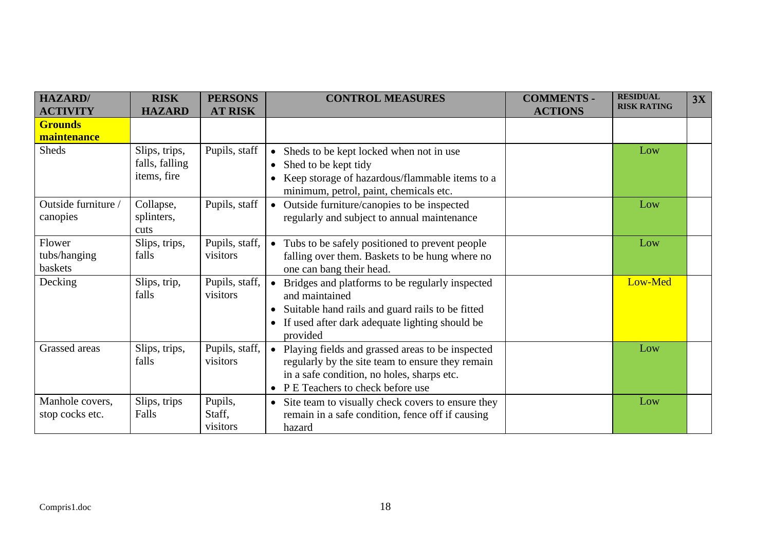| <b>HAZARD/</b><br><b>ACTIVITY</b>  | <b>RISK</b><br><b>HAZARD</b>                   | <b>PERSONS</b><br><b>AT RISK</b> | <b>CONTROL MEASURES</b>                                                                                                                                                                                          | <b>COMMENTS -</b><br><b>ACTIONS</b> | <b>RESIDUAL</b><br><b>RISK RATING</b> | 3X |
|------------------------------------|------------------------------------------------|----------------------------------|------------------------------------------------------------------------------------------------------------------------------------------------------------------------------------------------------------------|-------------------------------------|---------------------------------------|----|
| <b>Grounds</b><br>maintenance      |                                                |                                  |                                                                                                                                                                                                                  |                                     |                                       |    |
| <b>Sheds</b>                       | Slips, trips,<br>falls, falling<br>items, fire | Pupils, staff                    | • Sheds to be kept locked when not in use<br>Shed to be kept tidy<br>$\bullet$<br>Keep storage of hazardous/flammable items to a<br>minimum, petrol, paint, chemicals etc.                                       |                                     | Low                                   |    |
| Outside furniture /<br>canopies    | Collapse,<br>splinters,<br>cuts                | Pupils, staff                    | Outside furniture/canopies to be inspected<br>$\bullet$<br>regularly and subject to annual maintenance                                                                                                           |                                     | Low                                   |    |
| Flower<br>tubs/hanging<br>baskets  | Slips, trips,<br>falls                         | Pupils, staff,<br>visitors       | Tubs to be safely positioned to prevent people<br>$\bullet$<br>falling over them. Baskets to be hung where no<br>one can bang their head.                                                                        |                                     | Low                                   |    |
| Decking                            | Slips, trip,<br>falls                          | Pupils, staff,<br>visitors       | Bridges and platforms to be regularly inspected<br>and maintained<br>Suitable hand rails and guard rails to be fitted<br>$\bullet$<br>If used after dark adequate lighting should be<br>$\bullet$<br>provided    |                                     | Low-Med                               |    |
| Grassed areas                      | Slips, trips,<br>falls                         | Pupils, staff,<br>visitors       | Playing fields and grassed areas to be inspected<br>$\bullet$<br>regularly by the site team to ensure they remain<br>in a safe condition, no holes, sharps etc.<br>P E Teachers to check before use<br>$\bullet$ |                                     | Low                                   |    |
| Manhole covers,<br>stop cocks etc. | Slips, trips<br>Falls                          | Pupils,<br>Staff,<br>visitors    | Site team to visually check covers to ensure they<br>$\bullet$<br>remain in a safe condition, fence off if causing<br>hazard                                                                                     |                                     | Low                                   |    |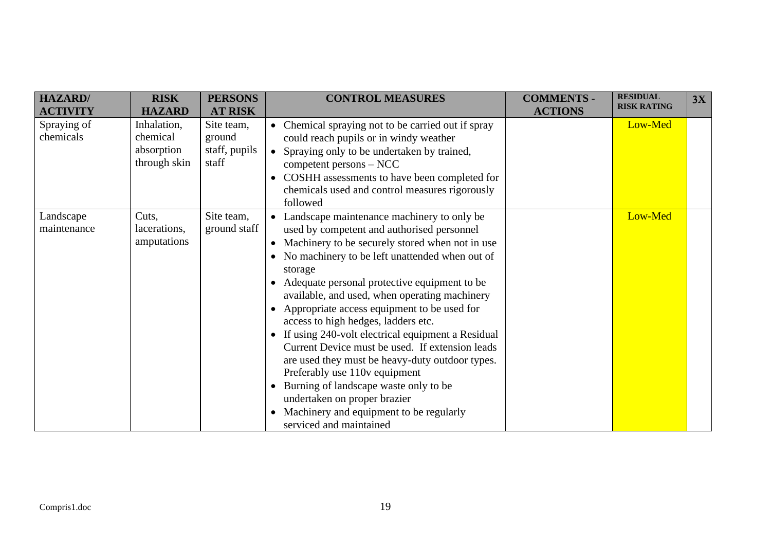| <b>HAZARD/</b><br><b>ACTIVITY</b> | <b>RISK</b><br><b>HAZARD</b>                          | <b>PERSONS</b><br><b>AT RISK</b>               | <b>CONTROL MEASURES</b>                                                                                                                                                                                                                                                                                                                                                                                                                                                                                                                                                                                                                                                                                                                                                | <b>COMMENTS -</b><br><b>ACTIONS</b> | <b>RESIDUAL</b><br><b>RISK RATING</b> | 3X |
|-----------------------------------|-------------------------------------------------------|------------------------------------------------|------------------------------------------------------------------------------------------------------------------------------------------------------------------------------------------------------------------------------------------------------------------------------------------------------------------------------------------------------------------------------------------------------------------------------------------------------------------------------------------------------------------------------------------------------------------------------------------------------------------------------------------------------------------------------------------------------------------------------------------------------------------------|-------------------------------------|---------------------------------------|----|
| Spraying of<br>chemicals          | Inhalation,<br>chemical<br>absorption<br>through skin | Site team,<br>ground<br>staff, pupils<br>staff | Chemical spraying not to be carried out if spray<br>$\bullet$<br>could reach pupils or in windy weather<br>Spraying only to be undertaken by trained,<br>$\bullet$<br>competent persons – NCC<br>COSHH assessments to have been completed for<br>$\bullet$<br>chemicals used and control measures rigorously<br>followed                                                                                                                                                                                                                                                                                                                                                                                                                                               |                                     | Low-Med                               |    |
| Landscape<br>maintenance          | Cuts.<br>lacerations,<br>amputations                  | Site team,<br>ground staff                     | • Landscape maintenance machinery to only be<br>used by competent and authorised personnel<br>Machinery to be securely stored when not in use<br>$\bullet$<br>No machinery to be left unattended when out of<br>storage<br>Adequate personal protective equipment to be<br>available, and used, when operating machinery<br>Appropriate access equipment to be used for<br>access to high hedges, ladders etc.<br>If using 240-volt electrical equipment a Residual<br>Current Device must be used. If extension leads<br>are used they must be heavy-duty outdoor types.<br>Preferably use 110v equipment<br>Burning of landscape waste only to be<br>$\bullet$<br>undertaken on proper brazier<br>Machinery and equipment to be regularly<br>serviced and maintained |                                     | Low-Med                               |    |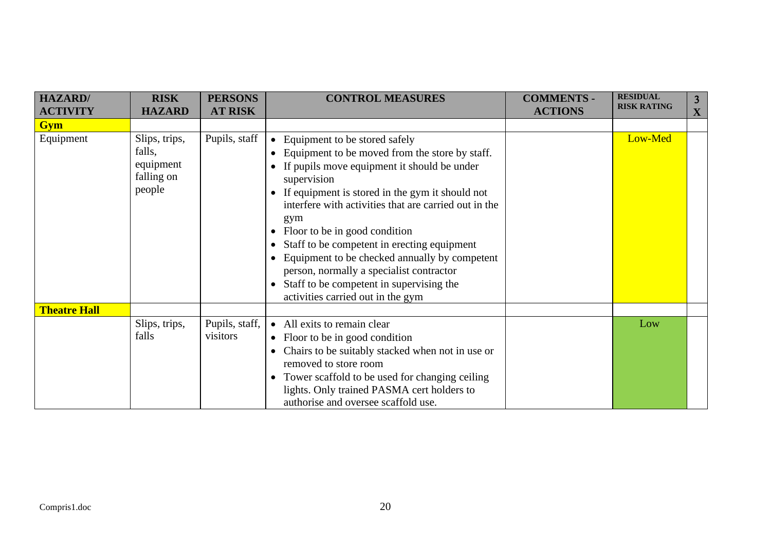| <b>HAZARD/</b>      | <b>RISK</b>                                                  | <b>PERSONS</b>             | <b>CONTROL MEASURES</b>                                                                                                                                                                                                                                                                                                                                                                                                                                                                                                                                                                                        | <b>COMMENTS -</b> | <b>RESIDUAL</b><br><b>RISK RATING</b> | 3 |
|---------------------|--------------------------------------------------------------|----------------------------|----------------------------------------------------------------------------------------------------------------------------------------------------------------------------------------------------------------------------------------------------------------------------------------------------------------------------------------------------------------------------------------------------------------------------------------------------------------------------------------------------------------------------------------------------------------------------------------------------------------|-------------------|---------------------------------------|---|
| <b>ACTIVITY</b>     | <b>HAZARD</b>                                                | <b>AT RISK</b>             |                                                                                                                                                                                                                                                                                                                                                                                                                                                                                                                                                                                                                | <b>ACTIONS</b>    |                                       | X |
| <b>Gym</b>          |                                                              |                            |                                                                                                                                                                                                                                                                                                                                                                                                                                                                                                                                                                                                                |                   |                                       |   |
| Equipment           | Slips, trips,<br>falls,<br>equipment<br>falling on<br>people | Pupils, staff              | • Equipment to be stored safely<br>Equipment to be moved from the store by staff.<br>$\bullet$<br>If pupils move equipment it should be under<br>supervision<br>If equipment is stored in the gym it should not<br>$\bullet$<br>interfere with activities that are carried out in the<br>gym<br>Floor to be in good condition<br>$\bullet$<br>Staff to be competent in erecting equipment<br>$\bullet$<br>Equipment to be checked annually by competent<br>$\bullet$<br>person, normally a specialist contractor<br>Staff to be competent in supervising the<br>$\bullet$<br>activities carried out in the gym |                   | Low-Med                               |   |
| <b>Theatre Hall</b> |                                                              |                            |                                                                                                                                                                                                                                                                                                                                                                                                                                                                                                                                                                                                                |                   |                                       |   |
|                     | Slips, trips,<br>falls                                       | Pupils, staff,<br>visitors | • All exits to remain clear<br>• Floor to be in good condition<br>Chairs to be suitably stacked when not in use or<br>$\bullet$<br>removed to store room<br>Tower scaffold to be used for changing ceiling<br>$\bullet$<br>lights. Only trained PASMA cert holders to<br>authorise and oversee scaffold use.                                                                                                                                                                                                                                                                                                   |                   | Low                                   |   |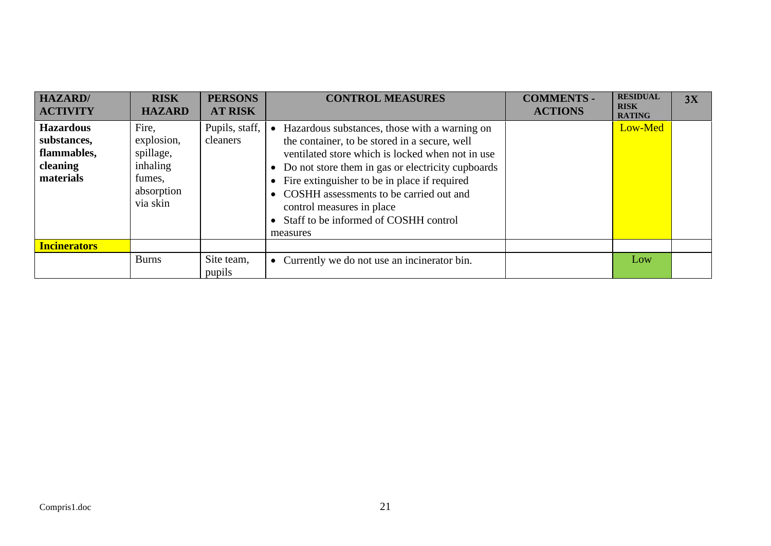| <b>HAZARD</b> /<br><b>ACTIVITY</b>                                      | <b>RISK</b><br><b>HAZARD</b>                                                     | <b>PERSONS</b><br><b>AT RISK</b> | <b>CONTROL MEASURES</b>                                                                                                                                                                                                                                                                                                                                                              | <b>COMMENTS -</b><br><b>ACTIONS</b> | <b>RESIDUAL</b><br><b>RISK</b><br><b>RATING</b> | 3X |
|-------------------------------------------------------------------------|----------------------------------------------------------------------------------|----------------------------------|--------------------------------------------------------------------------------------------------------------------------------------------------------------------------------------------------------------------------------------------------------------------------------------------------------------------------------------------------------------------------------------|-------------------------------------|-------------------------------------------------|----|
| <b>Hazardous</b><br>substances,<br>flammables,<br>cleaning<br>materials | Fire,<br>explosion,<br>spillage,<br>inhaling<br>fumes,<br>absorption<br>via skin | Pupils, staff,<br>cleaners       | Hazardous substances, those with a warning on<br>the container, to be stored in a secure, well<br>ventilated store which is locked when not in use<br>Do not store them in gas or electricity cupboards<br>Fire extinguisher to be in place if required<br>COSHH assessments to be carried out and<br>control measures in place<br>Staff to be informed of COSHH control<br>measures |                                     | Low-Med                                         |    |
| <b>Incinerators</b>                                                     |                                                                                  |                                  |                                                                                                                                                                                                                                                                                                                                                                                      |                                     |                                                 |    |
|                                                                         | <b>Burns</b>                                                                     | Site team,<br>pupils             | Currently we do not use an incinerator bin.<br>$\bullet$                                                                                                                                                                                                                                                                                                                             |                                     | Low                                             |    |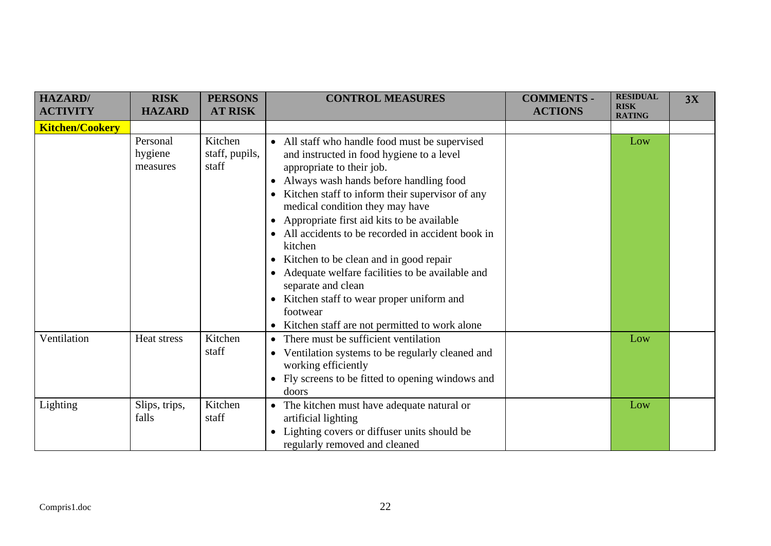| <b>HAZARD</b> /<br><b>ACTIVITY</b> | <b>RISK</b><br><b>HAZARD</b>    | <b>PERSONS</b><br><b>AT RISK</b>   | <b>CONTROL MEASURES</b>                                                                                                                                                                                                                                                                                                                                                                                                                                                                                                                                                                                           | <b>COMMENTS -</b><br><b>ACTIONS</b> | <b>RESIDUAL</b><br><b>RISK</b><br><b>RATING</b> | 3X |
|------------------------------------|---------------------------------|------------------------------------|-------------------------------------------------------------------------------------------------------------------------------------------------------------------------------------------------------------------------------------------------------------------------------------------------------------------------------------------------------------------------------------------------------------------------------------------------------------------------------------------------------------------------------------------------------------------------------------------------------------------|-------------------------------------|-------------------------------------------------|----|
| <b>Kitchen/Cookery</b>             |                                 |                                    |                                                                                                                                                                                                                                                                                                                                                                                                                                                                                                                                                                                                                   |                                     |                                                 |    |
|                                    | Personal<br>hygiene<br>measures | Kitchen<br>staff, pupils,<br>staff | • All staff who handle food must be supervised<br>and instructed in food hygiene to a level<br>appropriate to their job.<br>• Always wash hands before handling food<br>• Kitchen staff to inform their supervisor of any<br>medical condition they may have<br>• Appropriate first aid kits to be available<br>• All accidents to be recorded in accident book in<br>kitchen<br>• Kitchen to be clean and in good repair<br>• Adequate welfare facilities to be available and<br>separate and clean<br>• Kitchen staff to wear proper uniform and<br>footwear<br>• Kitchen staff are not permitted to work alone |                                     | Low                                             |    |
| Ventilation                        | Heat stress                     | Kitchen<br>staff                   | • There must be sufficient ventilation<br>• Ventilation systems to be regularly cleaned and<br>working efficiently<br>Fly screens to be fitted to opening windows and<br>doors                                                                                                                                                                                                                                                                                                                                                                                                                                    |                                     | Low                                             |    |
| Lighting                           | Slips, trips,<br>falls          | Kitchen<br>staff                   | • The kitchen must have adequate natural or<br>artificial lighting<br>Lighting covers or diffuser units should be<br>regularly removed and cleaned                                                                                                                                                                                                                                                                                                                                                                                                                                                                |                                     | Low                                             |    |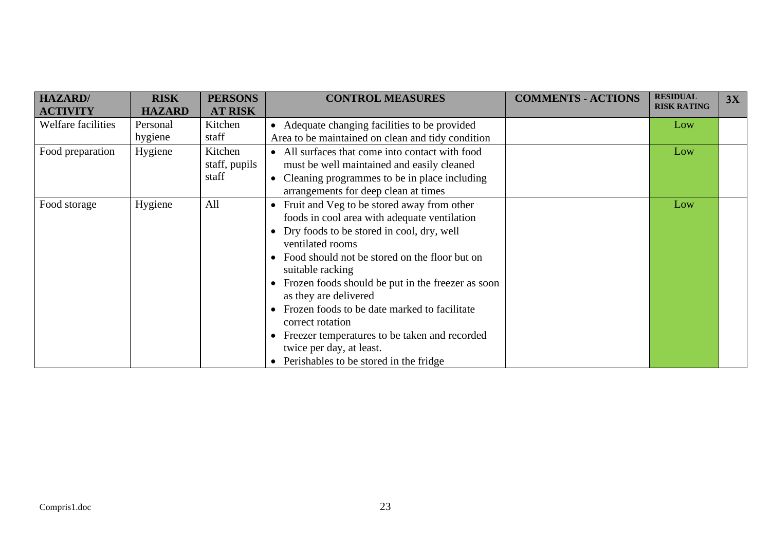| <b>HAZARD</b> /<br><b>ACTIVITY</b> | <b>RISK</b><br><b>HAZARD</b> | <b>PERSONS</b><br><b>AT RISK</b>  | <b>CONTROL MEASURES</b>                                                                                                                                                                                                                                                                                                                                                                                                                                                                                               | <b>COMMENTS - ACTIONS</b> | <b>RESIDUAL</b><br><b>RISK RATING</b> | 3X |
|------------------------------------|------------------------------|-----------------------------------|-----------------------------------------------------------------------------------------------------------------------------------------------------------------------------------------------------------------------------------------------------------------------------------------------------------------------------------------------------------------------------------------------------------------------------------------------------------------------------------------------------------------------|---------------------------|---------------------------------------|----|
| Welfare facilities                 | Personal<br>hygiene          | Kitchen<br>staff                  | • Adequate changing facilities to be provided<br>Area to be maintained on clean and tidy condition                                                                                                                                                                                                                                                                                                                                                                                                                    |                           | Low                                   |    |
| Food preparation                   | Hygiene                      | Kitchen<br>staff, pupils<br>staff | • All surfaces that come into contact with food<br>must be well maintained and easily cleaned<br>• Cleaning programmes to be in place including<br>arrangements for deep clean at times                                                                                                                                                                                                                                                                                                                               |                           | Low                                   |    |
| Food storage                       | Hygiene                      | All                               | • Fruit and Veg to be stored away from other<br>foods in cool area with adequate ventilation<br>• Dry foods to be stored in cool, dry, well<br>ventilated rooms<br>• Food should not be stored on the floor but on<br>suitable racking<br>• Frozen foods should be put in the freezer as soon<br>as they are delivered<br>Frozen foods to be date marked to facilitate<br>correct rotation<br>• Freezer temperatures to be taken and recorded<br>twice per day, at least.<br>• Perishables to be stored in the fridge |                           | Low                                   |    |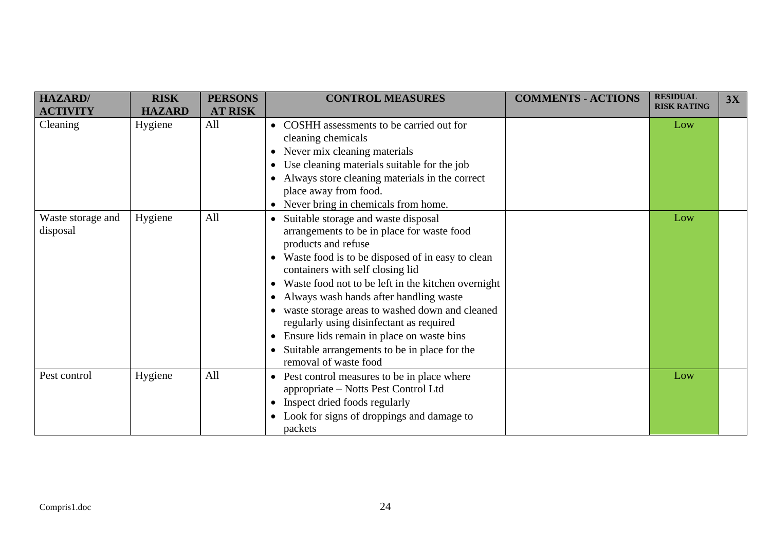| <b>HAZARD</b> /<br><b>ACTIVITY</b> | <b>RISK</b><br><b>HAZARD</b> | <b>PERSONS</b><br><b>AT RISK</b> | <b>CONTROL MEASURES</b>                                                                                                                                                                                                                                                                                                                                                                                                                                                                                                    | <b>COMMENTS - ACTIONS</b> | <b>RESIDUAL</b><br><b>RISK RATING</b> | 3X |
|------------------------------------|------------------------------|----------------------------------|----------------------------------------------------------------------------------------------------------------------------------------------------------------------------------------------------------------------------------------------------------------------------------------------------------------------------------------------------------------------------------------------------------------------------------------------------------------------------------------------------------------------------|---------------------------|---------------------------------------|----|
| Cleaning                           | Hygiene                      | All                              | • COSHH assessments to be carried out for<br>cleaning chemicals<br>• Never mix cleaning materials<br>Use cleaning materials suitable for the job<br>Always store cleaning materials in the correct<br>place away from food.<br>• Never bring in chemicals from home.                                                                                                                                                                                                                                                       |                           | Low                                   |    |
| Waste storage and<br>disposal      | Hygiene                      | All                              | Suitable storage and waste disposal<br>arrangements to be in place for waste food<br>products and refuse<br>• Waste food is to be disposed of in easy to clean<br>containers with self closing lid<br>Waste food not to be left in the kitchen overnight<br>• Always wash hands after handling waste<br>• waste storage areas to washed down and cleaned<br>regularly using disinfectant as required<br>Ensure lids remain in place on waste bins<br>Suitable arrangements to be in place for the<br>removal of waste food |                           | Low                                   |    |
| Pest control                       | Hygiene                      | All                              | • Pest control measures to be in place where<br>appropriate – Notts Pest Control Ltd<br>• Inspect dried foods regularly<br>• Look for signs of droppings and damage to<br>packets                                                                                                                                                                                                                                                                                                                                          |                           | Low                                   |    |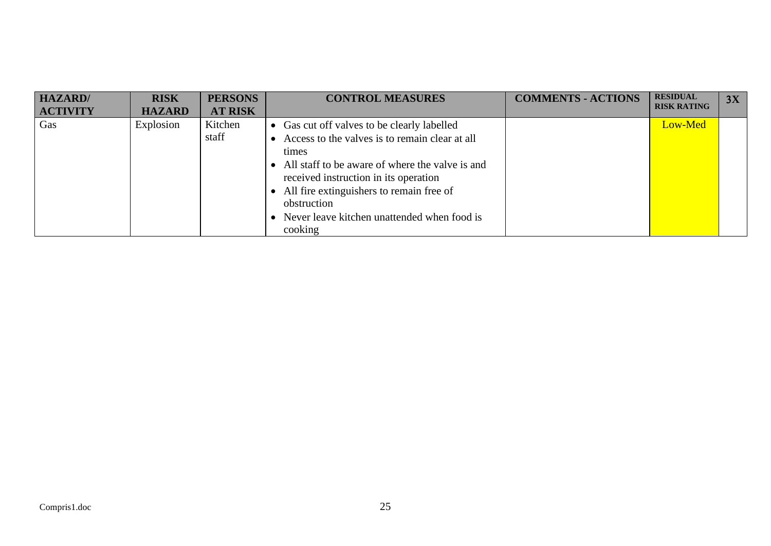| <b>HAZARD</b> /<br><b>ACTIVITY</b> | <b>RISK</b><br><b>HAZARD</b> | <b>PERSONS</b><br><b>AT RISK</b> | <b>CONTROL MEASURES</b>                                                                                                                                                                                                                                                                                                       | <b>COMMENTS - ACTIONS</b> | <b>RESIDUAL</b><br><b>RISK RATING</b> | 3X |
|------------------------------------|------------------------------|----------------------------------|-------------------------------------------------------------------------------------------------------------------------------------------------------------------------------------------------------------------------------------------------------------------------------------------------------------------------------|---------------------------|---------------------------------------|----|
| Gas                                | Explosion                    | Kitchen<br>staff                 | • Gas cut off valves to be clearly labelled<br>Access to the valves is to remain clear at all<br>times<br>• All staff to be aware of where the valve is and<br>received instruction in its operation<br>• All fire extinguishers to remain free of<br>obstruction<br>• Never leave kitchen unattended when food is<br>cooking |                           | Low-Med                               |    |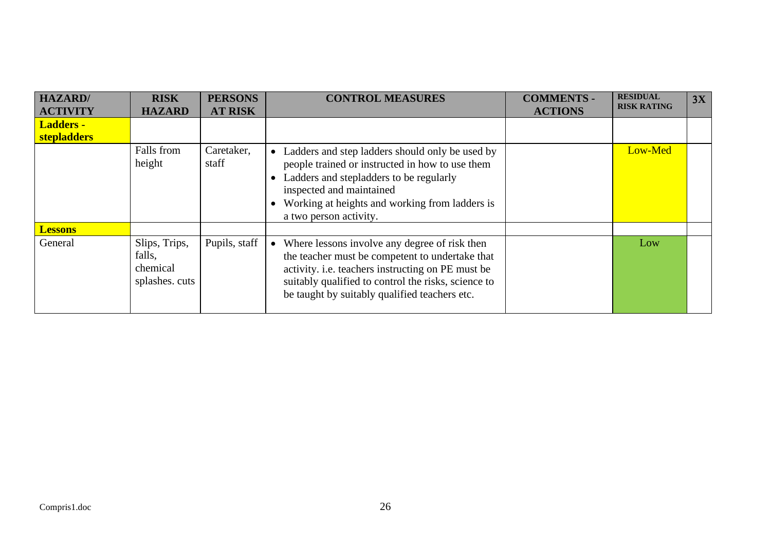| <b>HAZARD</b>    | <b>RISK</b>                                           | <b>PERSONS</b>      | <b>CONTROL MEASURES</b>                                                                                                                                                                                                                                            | <b>COMMENTS -</b> | <b>RESIDUAL</b><br><b>RISK RATING</b> | 3X |
|------------------|-------------------------------------------------------|---------------------|--------------------------------------------------------------------------------------------------------------------------------------------------------------------------------------------------------------------------------------------------------------------|-------------------|---------------------------------------|----|
| <b>ACTIVITY</b>  | <b>HAZARD</b>                                         | <b>AT RISK</b>      |                                                                                                                                                                                                                                                                    | <b>ACTIONS</b>    |                                       |    |
| <b>Ladders -</b> |                                                       |                     |                                                                                                                                                                                                                                                                    |                   |                                       |    |
| stepladders      |                                                       |                     |                                                                                                                                                                                                                                                                    |                   |                                       |    |
|                  | Falls from<br>height                                  | Caretaker,<br>staff | Ladders and step ladders should only be used by<br>$\bullet$<br>people trained or instructed in how to use them<br>Ladders and stepladders to be regularly<br>inspected and maintained<br>Working at heights and working from ladders is<br>a two person activity. |                   | Low-Med                               |    |
| <b>Lessons</b>   |                                                       |                     |                                                                                                                                                                                                                                                                    |                   |                                       |    |
| General          | Slips, Trips,<br>falls,<br>chemical<br>splashes. cuts | Pupils, staff       | • Where lessons involve any degree of risk then<br>the teacher must be competent to undertake that<br>activity. i.e. teachers instructing on PE must be<br>suitably qualified to control the risks, science to<br>be taught by suitably qualified teachers etc.    |                   | Low                                   |    |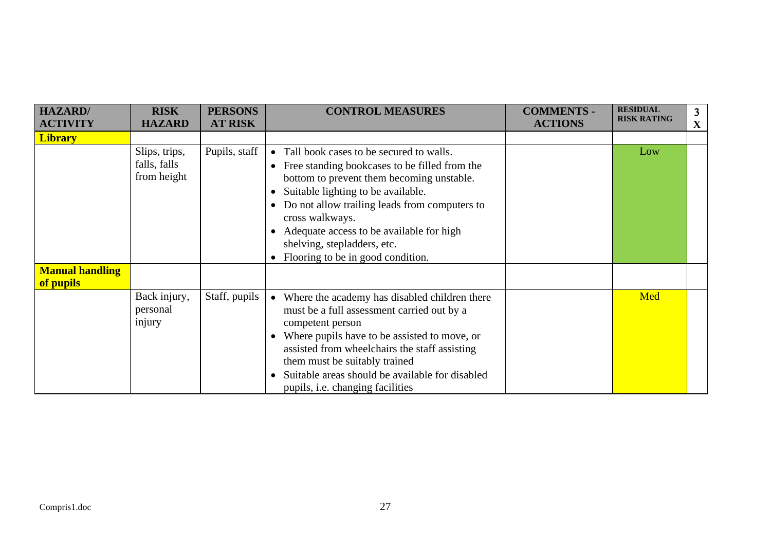| <b>HAZARD</b> /                     | <b>RISK</b>                                  | <b>PERSONS</b> | <b>CONTROL MEASURES</b>                                                                                                                                                                                                                                                                                                                                                                                               | <b>COMMENTS -</b> | <b>RESIDUAL</b>    | 3 |
|-------------------------------------|----------------------------------------------|----------------|-----------------------------------------------------------------------------------------------------------------------------------------------------------------------------------------------------------------------------------------------------------------------------------------------------------------------------------------------------------------------------------------------------------------------|-------------------|--------------------|---|
| <b>ACTIVITY</b>                     | <b>HAZARD</b>                                | <b>AT RISK</b> |                                                                                                                                                                                                                                                                                                                                                                                                                       | <b>ACTIONS</b>    | <b>RISK RATING</b> | X |
| <b>Library</b>                      |                                              |                |                                                                                                                                                                                                                                                                                                                                                                                                                       |                   |                    |   |
|                                     | Slips, trips,<br>falls, falls<br>from height | Pupils, staff  | • Tall book cases to be secured to walls.<br>Free standing bookcases to be filled from the<br>$\bullet$<br>bottom to prevent them becoming unstable.<br>Suitable lighting to be available.<br>$\bullet$<br>Do not allow trailing leads from computers to<br>$\bullet$<br>cross walkways.<br>Adequate access to be available for high<br>$\bullet$<br>shelving, stepladders, etc.<br>Flooring to be in good condition. |                   | Low                |   |
| <b>Manual handling</b><br>of pupils |                                              |                |                                                                                                                                                                                                                                                                                                                                                                                                                       |                   |                    |   |
|                                     | Back injury,<br>personal<br>injury           | Staff, pupils  | Where the academy has disabled children there<br>$\bullet$<br>must be a full assessment carried out by a<br>competent person<br>Where pupils have to be assisted to move, or<br>$\bullet$<br>assisted from wheelchairs the staff assisting<br>them must be suitably trained<br>Suitable areas should be available for disabled<br>$\bullet$<br>pupils, <i>i.e.</i> changing facilities                                |                   | Med                |   |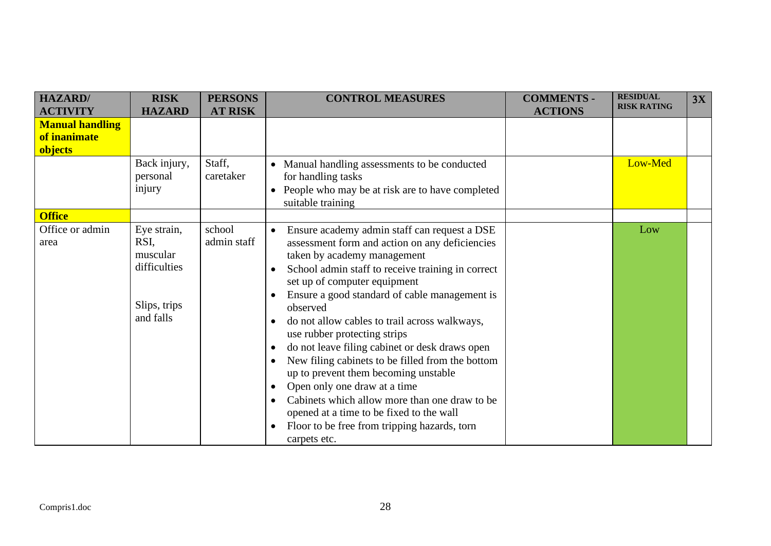| <b>HAZARD/</b>                                    | <b>RISK</b>                                                                  | <b>PERSONS</b>        | <b>CONTROL MEASURES</b>                                                                                                                                                                                                                                                                                                                                                                                                                                                                                                                                                                                                                                                                                                                                                                                | <b>COMMENTS -</b> | <b>RESIDUAL</b><br><b>RISK RATING</b> | 3X |
|---------------------------------------------------|------------------------------------------------------------------------------|-----------------------|--------------------------------------------------------------------------------------------------------------------------------------------------------------------------------------------------------------------------------------------------------------------------------------------------------------------------------------------------------------------------------------------------------------------------------------------------------------------------------------------------------------------------------------------------------------------------------------------------------------------------------------------------------------------------------------------------------------------------------------------------------------------------------------------------------|-------------------|---------------------------------------|----|
| <b>ACTIVITY</b>                                   | <b>HAZARD</b>                                                                | <b>AT RISK</b>        |                                                                                                                                                                                                                                                                                                                                                                                                                                                                                                                                                                                                                                                                                                                                                                                                        | <b>ACTIONS</b>    |                                       |    |
| <b>Manual handling</b><br>of inanimate<br>objects |                                                                              |                       |                                                                                                                                                                                                                                                                                                                                                                                                                                                                                                                                                                                                                                                                                                                                                                                                        |                   |                                       |    |
|                                                   | Back injury,<br>personal<br>injury                                           | Staff,<br>caretaker   | • Manual handling assessments to be conducted<br>for handling tasks<br>People who may be at risk are to have completed<br>suitable training                                                                                                                                                                                                                                                                                                                                                                                                                                                                                                                                                                                                                                                            |                   | Low-Med                               |    |
| <b>Office</b>                                     |                                                                              |                       |                                                                                                                                                                                                                                                                                                                                                                                                                                                                                                                                                                                                                                                                                                                                                                                                        |                   |                                       |    |
| Office or admin<br>area                           | Eye strain,<br>RSI,<br>muscular<br>difficulties<br>Slips, trips<br>and falls | school<br>admin staff | Ensure academy admin staff can request a DSE<br>$\bullet$<br>assessment form and action on any deficiencies<br>taken by academy management<br>School admin staff to receive training in correct<br>$\bullet$<br>set up of computer equipment<br>Ensure a good standard of cable management is<br>observed<br>do not allow cables to trail across walkways,<br>use rubber protecting strips<br>do not leave filing cabinet or desk draws open<br>$\bullet$<br>New filing cabinets to be filled from the bottom<br>$\bullet$<br>up to prevent them becoming unstable<br>Open only one draw at a time<br>$\bullet$<br>Cabinets which allow more than one draw to be<br>$\bullet$<br>opened at a time to be fixed to the wall<br>Floor to be free from tripping hazards, torn<br>$\bullet$<br>carpets etc. |                   | Low                                   |    |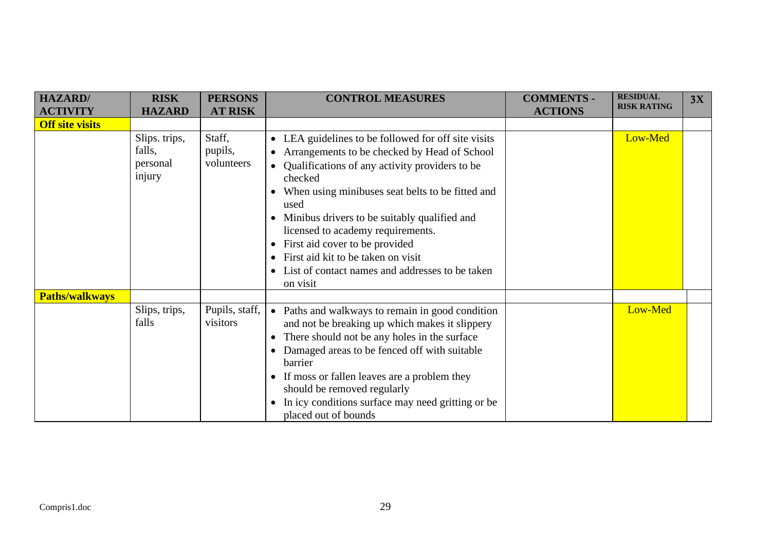| <b>HAZARD/</b>                            | <b>RISK</b>                                   | <b>PERSONS</b>                  | <b>CONTROL MEASURES</b>                                                                                                                                                                                                                                                                                                                                                                                                                                    | <b>COMMENTS -</b> | <b>RESIDUAL</b><br><b>RISK RATING</b> | 3X |
|-------------------------------------------|-----------------------------------------------|---------------------------------|------------------------------------------------------------------------------------------------------------------------------------------------------------------------------------------------------------------------------------------------------------------------------------------------------------------------------------------------------------------------------------------------------------------------------------------------------------|-------------------|---------------------------------------|----|
| <b>ACTIVITY</b><br><b>Off site visits</b> | <b>HAZARD</b>                                 | <b>AT RISK</b>                  |                                                                                                                                                                                                                                                                                                                                                                                                                                                            | <b>ACTIONS</b>    |                                       |    |
|                                           | Slips. trips,<br>falls,<br>personal<br>injury | Staff,<br>pupils,<br>volunteers | • LEA guidelines to be followed for off site visits<br>Arrangements to be checked by Head of School<br>• Qualifications of any activity providers to be<br>checked<br>When using minibuses seat belts to be fitted and<br>used<br>Minibus drivers to be suitably qualified and<br>licensed to academy requirements.<br>First aid cover to be provided<br>First aid kit to be taken on visit<br>List of contact names and addresses to be taken<br>on visit |                   | Low-Med                               |    |
| <b>Paths/walkways</b>                     |                                               |                                 |                                                                                                                                                                                                                                                                                                                                                                                                                                                            |                   |                                       |    |
|                                           | Slips, trips,<br>falls                        | Pupils, staff,<br>visitors      | • Paths and walkways to remain in good condition<br>and not be breaking up which makes it slippery<br>There should not be any holes in the surface<br>Damaged areas to be fenced off with suitable<br>barrier<br>If moss or fallen leaves are a problem they<br>should be removed regularly<br>In icy conditions surface may need gritting or be<br>placed out of bounds                                                                                   |                   | Low-Med                               |    |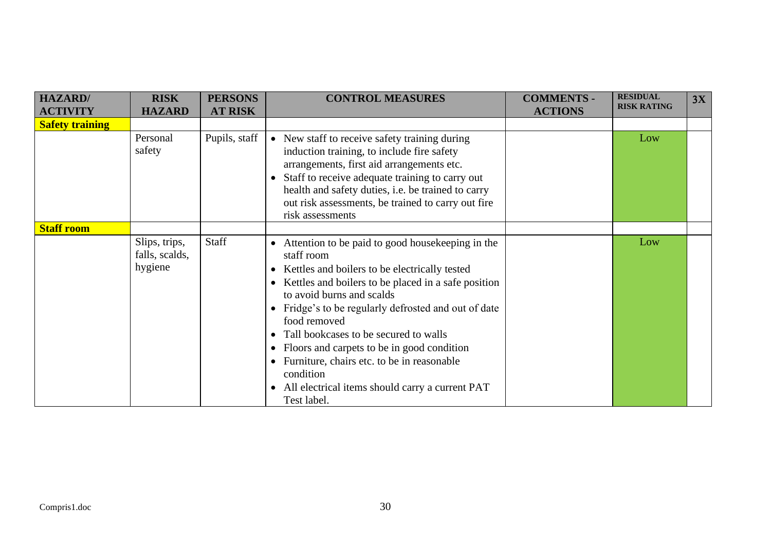| <b>HAZARD/</b>         | <b>RISK</b>                                | <b>PERSONS</b> | <b>CONTROL MEASURES</b>                                                                                                                                                                                                                                                                                                                                                                                                                                                                                                                                           | <b>COMMENTS -</b> | <b>RESIDUAL</b>    | 3X |
|------------------------|--------------------------------------------|----------------|-------------------------------------------------------------------------------------------------------------------------------------------------------------------------------------------------------------------------------------------------------------------------------------------------------------------------------------------------------------------------------------------------------------------------------------------------------------------------------------------------------------------------------------------------------------------|-------------------|--------------------|----|
| <b>ACTIVITY</b>        | <b>HAZARD</b>                              | <b>AT RISK</b> |                                                                                                                                                                                                                                                                                                                                                                                                                                                                                                                                                                   | <b>ACTIONS</b>    | <b>RISK RATING</b> |    |
| <b>Safety training</b> |                                            |                |                                                                                                                                                                                                                                                                                                                                                                                                                                                                                                                                                                   |                   |                    |    |
|                        | Personal<br>safety                         | Pupils, staff  | • New staff to receive safety training during<br>induction training, to include fire safety<br>arrangements, first aid arrangements etc.<br>Staff to receive adequate training to carry out<br>$\bullet$<br>health and safety duties, i.e. be trained to carry<br>out risk assessments, be trained to carry out fire<br>risk assessments                                                                                                                                                                                                                          |                   | Low                |    |
| <b>Staff room</b>      |                                            |                |                                                                                                                                                                                                                                                                                                                                                                                                                                                                                                                                                                   |                   |                    |    |
|                        | Slips, trips,<br>falls, scalds,<br>hygiene | Staff          | • Attention to be paid to good house keeping in the<br>staff room<br>Kettles and boilers to be electrically tested<br>$\bullet$<br>Kettles and boilers to be placed in a safe position<br>$\bullet$<br>to avoid burns and scalds<br>Fridge's to be regularly defrosted and out of date<br>food removed<br>Tall bookcases to be secured to walls<br>Floors and carpets to be in good condition<br>$\bullet$<br>Furniture, chairs etc. to be in reasonable<br>$\bullet$<br>condition<br>All electrical items should carry a current PAT<br>$\bullet$<br>Test label. |                   | Low                |    |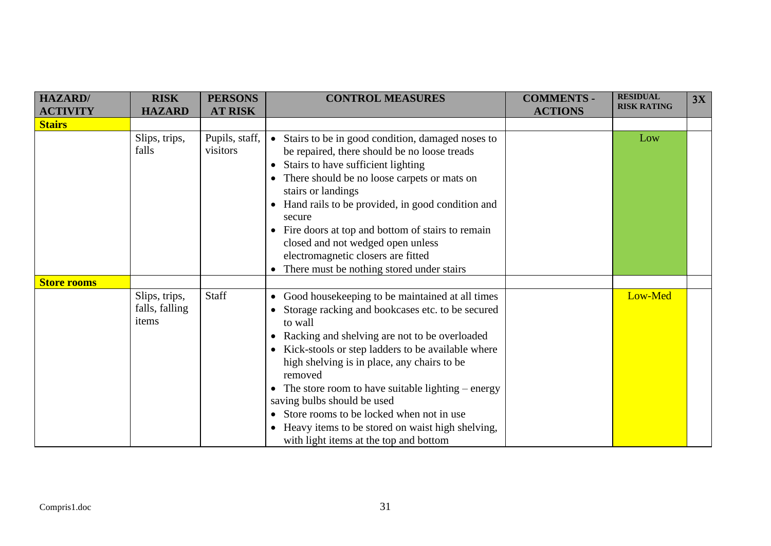| <b>HAZARD/</b><br><b>ACTIVITY</b> | <b>RISK</b><br><b>HAZARD</b>             | <b>PERSONS</b><br><b>AT RISK</b> | <b>CONTROL MEASURES</b>                                                                                                                                                                                                                                                                                                                                                                                                                                                                                                                | <b>COMMENTS -</b><br><b>ACTIONS</b> | <b>RESIDUAL</b><br><b>RISK RATING</b> | 3X |
|-----------------------------------|------------------------------------------|----------------------------------|----------------------------------------------------------------------------------------------------------------------------------------------------------------------------------------------------------------------------------------------------------------------------------------------------------------------------------------------------------------------------------------------------------------------------------------------------------------------------------------------------------------------------------------|-------------------------------------|---------------------------------------|----|
| <b>Stairs</b>                     |                                          |                                  |                                                                                                                                                                                                                                                                                                                                                                                                                                                                                                                                        |                                     |                                       |    |
|                                   | Slips, trips,<br>falls                   | Pupils, staff,<br>visitors       | Stairs to be in good condition, damaged noses to<br>$\bullet$<br>be repaired, there should be no loose treads<br>Stairs to have sufficient lighting<br>$\bullet$<br>There should be no loose carpets or mats on<br>stairs or landings<br>Hand rails to be provided, in good condition and<br>secure<br>Fire doors at top and bottom of stairs to remain<br>closed and not wedged open unless<br>electromagnetic closers are fitted<br>There must be nothing stored under stairs<br>$\bullet$                                           |                                     | Low                                   |    |
| <b>Store rooms</b>                |                                          |                                  |                                                                                                                                                                                                                                                                                                                                                                                                                                                                                                                                        |                                     |                                       |    |
|                                   | Slips, trips,<br>falls, falling<br>items | Staff                            | Good housekeeping to be maintained at all times<br>$\bullet$<br>Storage racking and bookcases etc. to be secured<br>to wall<br>Racking and shelving are not to be overloaded<br>Kick-stools or step ladders to be available where<br>$\bullet$<br>high shelving is in place, any chairs to be<br>removed<br>The store room to have suitable lighting – energy<br>saving bulbs should be used<br>Store rooms to be locked when not in use<br>Heavy items to be stored on waist high shelving,<br>with light items at the top and bottom |                                     | Low-Med                               |    |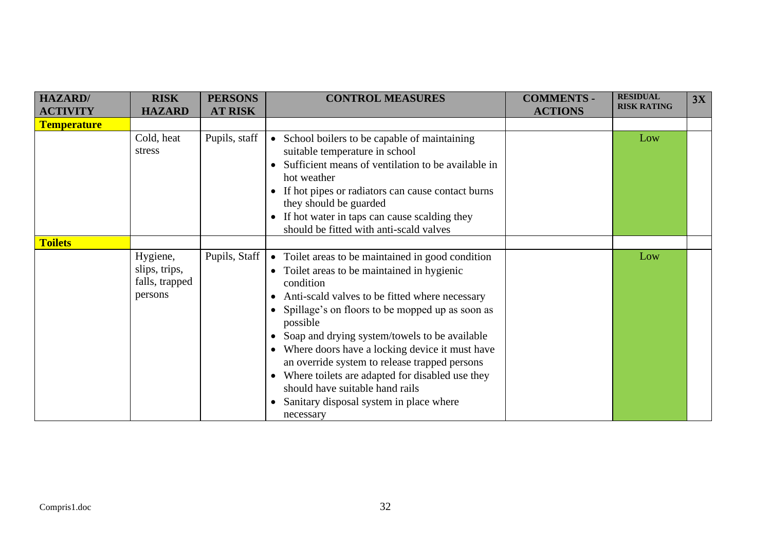| <b>HAZARD</b> /    | <b>RISK</b>                                            | <b>PERSONS</b> | <b>CONTROL MEASURES</b>                                                                                                                                                                                                                                                                                                                                                                                                                                                                                                                         | <b>COMMENTS -</b> | <b>RESIDUAL</b>    | 3X |
|--------------------|--------------------------------------------------------|----------------|-------------------------------------------------------------------------------------------------------------------------------------------------------------------------------------------------------------------------------------------------------------------------------------------------------------------------------------------------------------------------------------------------------------------------------------------------------------------------------------------------------------------------------------------------|-------------------|--------------------|----|
| <b>ACTIVITY</b>    | <b>HAZARD</b>                                          | <b>AT RISK</b> |                                                                                                                                                                                                                                                                                                                                                                                                                                                                                                                                                 | <b>ACTIONS</b>    | <b>RISK RATING</b> |    |
| <b>Temperature</b> |                                                        |                |                                                                                                                                                                                                                                                                                                                                                                                                                                                                                                                                                 |                   |                    |    |
|                    | Cold, heat<br>stress                                   | Pupils, staff  | • School boilers to be capable of maintaining<br>suitable temperature in school<br>Sufficient means of ventilation to be available in<br>hot weather<br>If hot pipes or radiators can cause contact burns<br>they should be guarded<br>If hot water in taps can cause scalding they<br>should be fitted with anti-scald valves                                                                                                                                                                                                                  |                   | Low                |    |
| <b>Toilets</b>     |                                                        |                |                                                                                                                                                                                                                                                                                                                                                                                                                                                                                                                                                 |                   |                    |    |
|                    | Hygiene,<br>slips, trips,<br>falls, trapped<br>persons | Pupils, Staff  | • Toilet areas to be maintained in good condition<br>• Toilet areas to be maintained in hygienic<br>condition<br>Anti-scald valves to be fitted where necessary<br>• Spillage's on floors to be mopped up as soon as<br>possible<br>Soap and drying system/towels to be available<br>Where doors have a locking device it must have<br>an override system to release trapped persons<br>Where toilets are adapted for disabled use they<br>should have suitable hand rails<br>Sanitary disposal system in place where<br>$\bullet$<br>necessary |                   | Low                |    |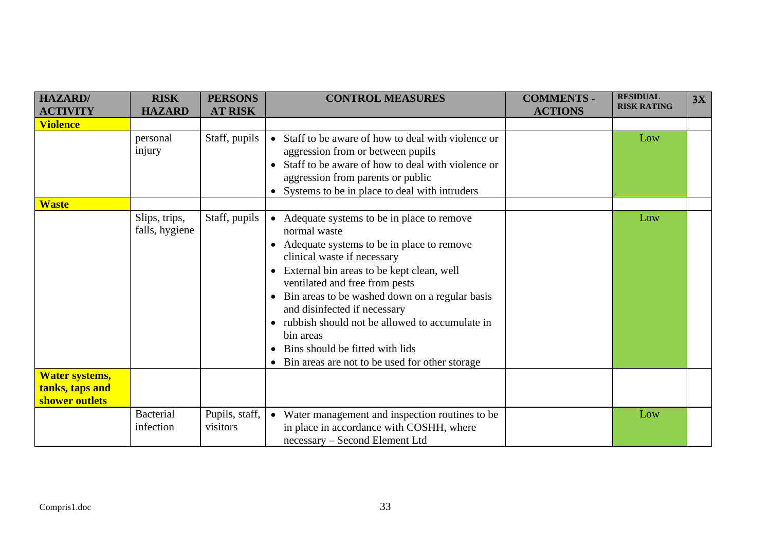| <b>HAZARD</b><br><b>ACTIVITY</b>  | <b>RISK</b><br><b>HAZARD</b>    | <b>PERSONS</b><br><b>AT RISK</b> | <b>CONTROL MEASURES</b>                                                                                                                                                                                                                                                                                                                                                                                                                                                                             | <b>COMMENTS -</b><br><b>ACTIONS</b> | <b>RESIDUAL</b><br><b>RISK RATING</b> | 3X |
|-----------------------------------|---------------------------------|----------------------------------|-----------------------------------------------------------------------------------------------------------------------------------------------------------------------------------------------------------------------------------------------------------------------------------------------------------------------------------------------------------------------------------------------------------------------------------------------------------------------------------------------------|-------------------------------------|---------------------------------------|----|
| <b>Violence</b>                   |                                 |                                  |                                                                                                                                                                                                                                                                                                                                                                                                                                                                                                     |                                     |                                       |    |
|                                   | personal<br>injury              | Staff, pupils                    | • Staff to be aware of how to deal with violence or<br>aggression from or between pupils<br>Staff to be aware of how to deal with violence or<br>$\bullet$<br>aggression from parents or public<br>Systems to be in place to deal with intruders                                                                                                                                                                                                                                                    |                                     | Low                                   |    |
| <b>Waste</b>                      |                                 |                                  |                                                                                                                                                                                                                                                                                                                                                                                                                                                                                                     |                                     |                                       |    |
|                                   | Slips, trips,<br>falls, hygiene | Staff, pupils                    | Adequate systems to be in place to remove<br>$\bullet$<br>normal waste<br>Adequate systems to be in place to remove<br>clinical waste if necessary<br>External bin areas to be kept clean, well<br>$\bullet$<br>ventilated and free from pests<br>Bin areas to be washed down on a regular basis<br>$\bullet$<br>and disinfected if necessary<br>rubbish should not be allowed to accumulate in<br>bin areas<br>Bins should be fitted with lids<br>• Bin areas are not to be used for other storage |                                     | Low                                   |    |
| Water systems,                    |                                 |                                  |                                                                                                                                                                                                                                                                                                                                                                                                                                                                                                     |                                     |                                       |    |
| tanks, taps and<br>shower outlets |                                 |                                  |                                                                                                                                                                                                                                                                                                                                                                                                                                                                                                     |                                     |                                       |    |
|                                   | <b>Bacterial</b><br>infection   | Pupils, staff,<br>visitors       | • Water management and inspection routines to be<br>in place in accordance with COSHH, where<br>necessary - Second Element Ltd                                                                                                                                                                                                                                                                                                                                                                      |                                     | Low                                   |    |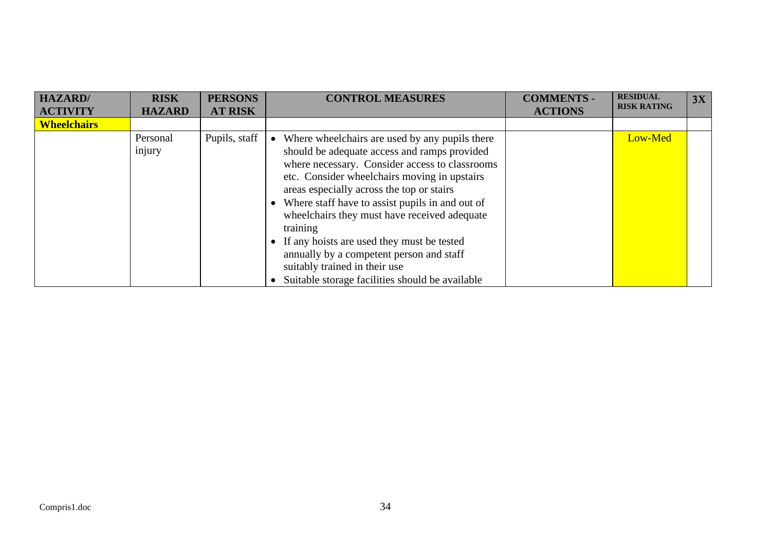| <b>HAZARD</b> /    | <b>RISK</b>        | <b>PERSONS</b> | <b>CONTROL MEASURES</b>                                                                                                                                                                                                                                                                                                                                                                                                                                                                              | <b>COMMENTS -</b> | <b>RESIDUAL</b><br><b>RISK RATING</b> | 3X |
|--------------------|--------------------|----------------|------------------------------------------------------------------------------------------------------------------------------------------------------------------------------------------------------------------------------------------------------------------------------------------------------------------------------------------------------------------------------------------------------------------------------------------------------------------------------------------------------|-------------------|---------------------------------------|----|
| <b>ACTIVITY</b>    | <b>HAZARD</b>      | <b>AT RISK</b> |                                                                                                                                                                                                                                                                                                                                                                                                                                                                                                      | <b>ACTIONS</b>    |                                       |    |
| <b>Wheelchairs</b> |                    |                |                                                                                                                                                                                                                                                                                                                                                                                                                                                                                                      |                   |                                       |    |
|                    | Personal<br>injury | Pupils, staff  | Where wheelchairs are used by any pupils there<br>$\bullet$<br>should be adequate access and ramps provided<br>where necessary. Consider access to classrooms<br>etc. Consider wheelchairs moving in upstairs<br>areas especially across the top or stairs<br>Where staff have to assist pupils in and out of<br>wheelchairs they must have received adequate<br>training<br>If any hoists are used they must be tested<br>annually by a competent person and staff<br>suitably trained in their use |                   | Low-Med                               |    |
|                    |                    |                | Suitable storage facilities should be available                                                                                                                                                                                                                                                                                                                                                                                                                                                      |                   |                                       |    |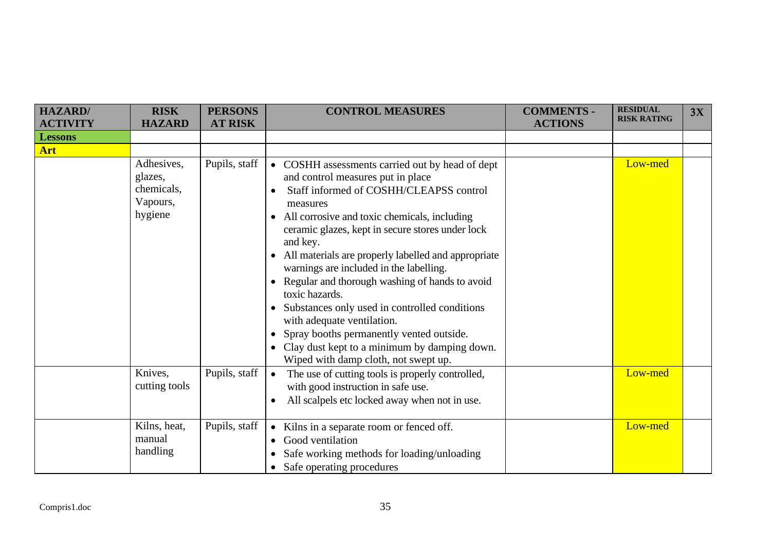| <b>HAZARD</b> /                   | <b>RISK</b><br><b>HAZARD</b>                               | <b>PERSONS</b> | <b>CONTROL MEASURES</b>                                                                                                                                                                                                                                                                                                                                                                                                                                                                                                                                                                                                                                         | <b>COMMENTS -</b> | <b>RESIDUAL</b><br><b>RISK RATING</b> | 3X |
|-----------------------------------|------------------------------------------------------------|----------------|-----------------------------------------------------------------------------------------------------------------------------------------------------------------------------------------------------------------------------------------------------------------------------------------------------------------------------------------------------------------------------------------------------------------------------------------------------------------------------------------------------------------------------------------------------------------------------------------------------------------------------------------------------------------|-------------------|---------------------------------------|----|
| <b>ACTIVITY</b><br><b>Lessons</b> |                                                            | <b>AT RISK</b> |                                                                                                                                                                                                                                                                                                                                                                                                                                                                                                                                                                                                                                                                 | <b>ACTIONS</b>    |                                       |    |
| Art                               |                                                            |                |                                                                                                                                                                                                                                                                                                                                                                                                                                                                                                                                                                                                                                                                 |                   |                                       |    |
|                                   | Adhesives,<br>glazes,<br>chemicals,<br>Vapours,<br>hygiene | Pupils, staff  | COSHH assessments carried out by head of dept<br>$\bullet$<br>and control measures put in place<br>Staff informed of COSHH/CLEAPSS control<br>measures<br>All corrosive and toxic chemicals, including<br>ceramic glazes, kept in secure stores under lock<br>and key.<br>All materials are properly labelled and appropriate<br>warnings are included in the labelling.<br>Regular and thorough washing of hands to avoid<br>toxic hazards.<br>Substances only used in controlled conditions<br>with adequate ventilation.<br>Spray booths permanently vented outside.<br>Clay dust kept to a minimum by damping down.<br>Wiped with damp cloth, not swept up. |                   | Low-med                               |    |
|                                   | Knives,<br>cutting tools                                   | Pupils, staff  | The use of cutting tools is properly controlled,<br>$\bullet$<br>with good instruction in safe use.<br>All scalpels etc locked away when not in use.                                                                                                                                                                                                                                                                                                                                                                                                                                                                                                            |                   | Low-med                               |    |
|                                   | Kilns, heat,<br>manual<br>handling                         | Pupils, staff  | Kilns in a separate room or fenced off.<br>$\bullet$<br>Good ventilation<br>$\bullet$<br>Safe working methods for loading/unloading<br>• Safe operating procedures                                                                                                                                                                                                                                                                                                                                                                                                                                                                                              |                   | Low-med                               |    |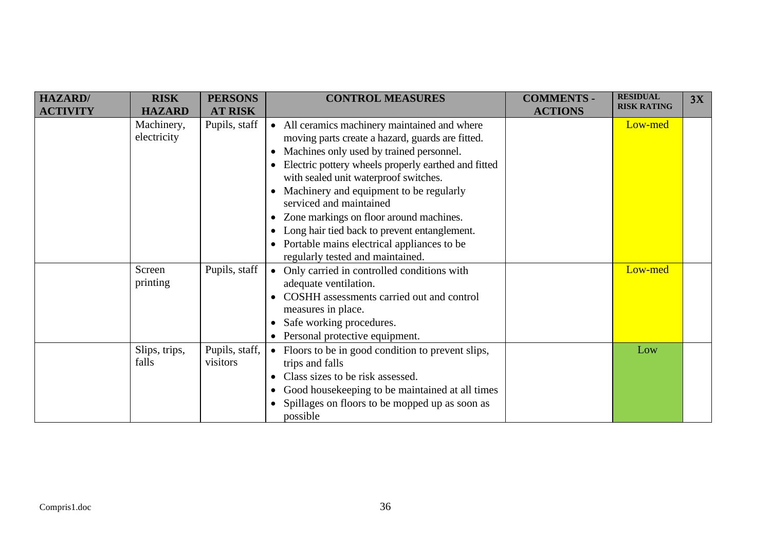| HAZARD/         | <b>RISK</b>               | <b>PERSONS</b>             | <b>CONTROL MEASURES</b>                                                                                                                                                                                                                                                                                                                                                                                                                                                                          | <b>COMMENTS -</b> | <b>RESIDUAL</b>    | 3X |
|-----------------|---------------------------|----------------------------|--------------------------------------------------------------------------------------------------------------------------------------------------------------------------------------------------------------------------------------------------------------------------------------------------------------------------------------------------------------------------------------------------------------------------------------------------------------------------------------------------|-------------------|--------------------|----|
| <b>ACTIVITY</b> | <b>HAZARD</b>             | <b>AT RISK</b>             |                                                                                                                                                                                                                                                                                                                                                                                                                                                                                                  | <b>ACTIONS</b>    | <b>RISK RATING</b> |    |
|                 | Machinery,<br>electricity | Pupils, staff              | • All ceramics machinery maintained and where<br>moving parts create a hazard, guards are fitted.<br>Machines only used by trained personnel.<br>Electric pottery wheels properly earthed and fitted<br>with sealed unit waterproof switches.<br>Machinery and equipment to be regularly<br>serviced and maintained<br>Zone markings on floor around machines.<br>Long hair tied back to prevent entanglement.<br>Portable mains electrical appliances to be<br>regularly tested and maintained. |                   | Low-med            |    |
|                 | Screen<br>printing        | Pupils, staff              | Only carried in controlled conditions with<br>$\bullet$<br>adequate ventilation.<br>COSHH assessments carried out and control<br>measures in place.<br>Safe working procedures.<br>Personal protective equipment.                                                                                                                                                                                                                                                                                |                   | Low-med            |    |
|                 | Slips, trips,<br>falls    | Pupils, staff,<br>visitors | Floors to be in good condition to prevent slips,<br>$\bullet$<br>trips and falls<br>Class sizes to be risk assessed.<br>Good housekeeping to be maintained at all times<br>Spillages on floors to be mopped up as soon as<br>possible                                                                                                                                                                                                                                                            |                   | Low                |    |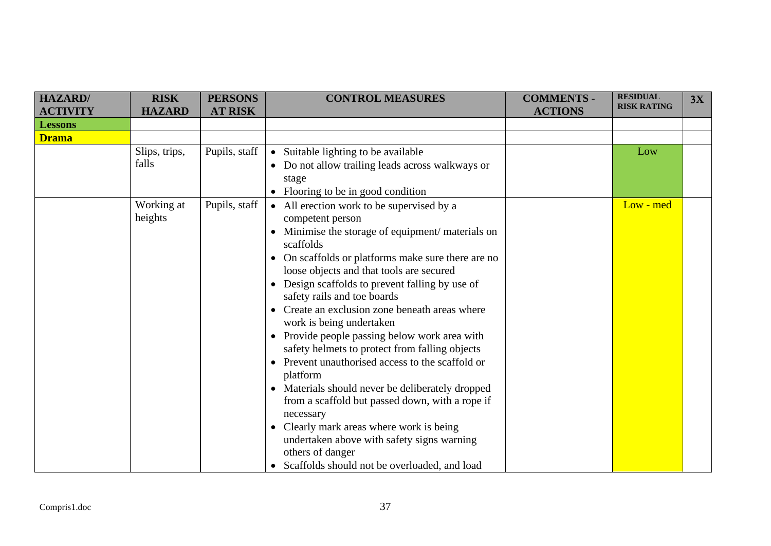| <b>HAZARD/</b>  | <b>RISK</b>   | <b>PERSONS</b> | <b>CONTROL MEASURES</b>                                     | <b>COMMENTS -</b> | <b>RESIDUAL</b>    | 3X |
|-----------------|---------------|----------------|-------------------------------------------------------------|-------------------|--------------------|----|
| <b>ACTIVITY</b> | <b>HAZARD</b> | <b>AT RISK</b> |                                                             | <b>ACTIONS</b>    | <b>RISK RATING</b> |    |
| <b>Lessons</b>  |               |                |                                                             |                   |                    |    |
| <b>Drama</b>    |               |                |                                                             |                   |                    |    |
|                 | Slips, trips, | Pupils, staff  | • Suitable lighting to be available                         |                   | Low                |    |
|                 | falls         |                | Do not allow trailing leads across walkways or              |                   |                    |    |
|                 |               |                | stage                                                       |                   |                    |    |
|                 |               |                | Flooring to be in good condition<br>$\bullet$               |                   |                    |    |
|                 | Working at    | Pupils, staff  | • All erection work to be supervised by a                   |                   | Low - med          |    |
|                 | heights       |                | competent person                                            |                   |                    |    |
|                 |               |                | Minimise the storage of equipment/ materials on             |                   |                    |    |
|                 |               |                | scaffolds                                                   |                   |                    |    |
|                 |               |                | On scaffolds or platforms make sure there are no            |                   |                    |    |
|                 |               |                | loose objects and that tools are secured                    |                   |                    |    |
|                 |               |                | Design scaffolds to prevent falling by use of               |                   |                    |    |
|                 |               |                | safety rails and toe boards                                 |                   |                    |    |
|                 |               |                | Create an exclusion zone beneath areas where                |                   |                    |    |
|                 |               |                | work is being undertaken                                    |                   |                    |    |
|                 |               |                | • Provide people passing below work area with               |                   |                    |    |
|                 |               |                | safety helmets to protect from falling objects              |                   |                    |    |
|                 |               |                | Prevent unauthorised access to the scaffold or              |                   |                    |    |
|                 |               |                | platform                                                    |                   |                    |    |
|                 |               |                | Materials should never be deliberately dropped<br>$\bullet$ |                   |                    |    |
|                 |               |                | from a scaffold but passed down, with a rope if             |                   |                    |    |
|                 |               |                | necessary                                                   |                   |                    |    |
|                 |               |                | Clearly mark areas where work is being<br>$\bullet$         |                   |                    |    |
|                 |               |                | undertaken above with safety signs warning                  |                   |                    |    |
|                 |               |                | others of danger                                            |                   |                    |    |
|                 |               |                | • Scaffolds should not be overloaded, and load              |                   |                    |    |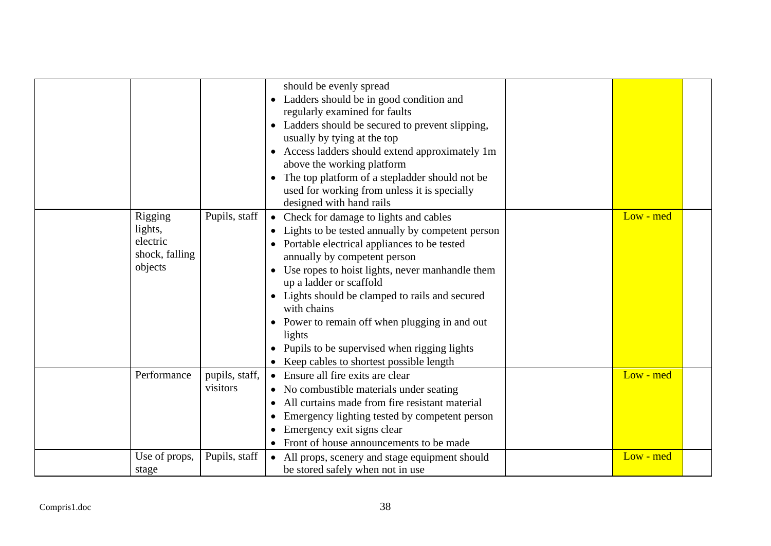|                                           |                                 | should be evenly spread<br>Ladders should be in good condition and<br>regularly examined for faults<br>Ladders should be secured to prevent slipping,<br>usually by tying at the top<br>Access ladders should extend approximately 1m<br>$\bullet$<br>above the working platform<br>The top platform of a stepladder should not be<br>used for working from unless it is specially<br>designed with hand rails                                                                              |           |  |
|-------------------------------------------|---------------------------------|---------------------------------------------------------------------------------------------------------------------------------------------------------------------------------------------------------------------------------------------------------------------------------------------------------------------------------------------------------------------------------------------------------------------------------------------------------------------------------------------|-----------|--|
| Rigging<br>lights,<br>electric<br>objects | Pupils, staff<br>shock, falling | Check for damage to lights and cables<br>$\bullet$<br>• Lights to be tested annually by competent person<br>Portable electrical appliances to be tested<br>annually by competent person<br>Use ropes to hoist lights, never manhandle them<br>up a ladder or scaffold<br>Lights should be clamped to rails and secured<br>with chains<br>Power to remain off when plugging in and out<br>lights<br>Pupils to be supervised when rigging lights<br>• Keep cables to shortest possible length | Low - med |  |
| Performance                               | pupils, staff,<br>visitors      | Ensure all fire exits are clear<br>$\bullet$<br>• No combustible materials under seating<br>All curtains made from fire resistant material<br>Emergency lighting tested by competent person<br>Emergency exit signs clear<br>Front of house announcements to be made                                                                                                                                                                                                                        | Low - med |  |
| stage                                     | Use of props,<br>Pupils, staff  | All props, scenery and stage equipment should<br>$\bullet$<br>be stored safely when not in use                                                                                                                                                                                                                                                                                                                                                                                              | Low - med |  |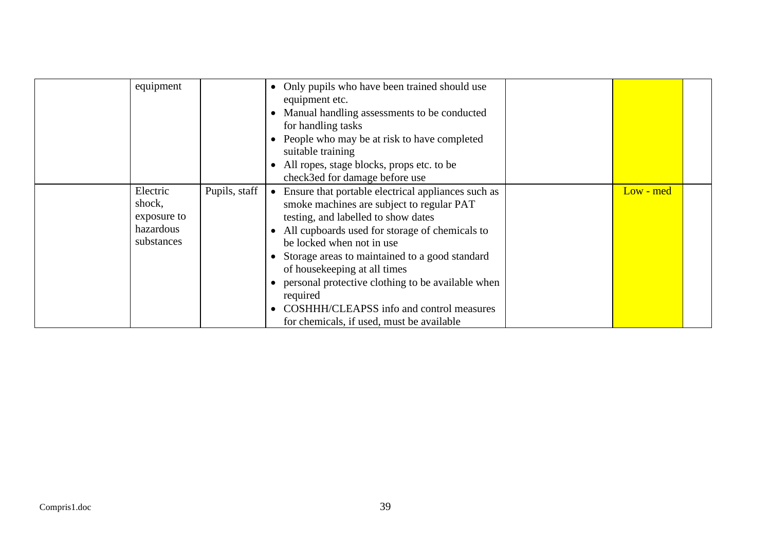| equipment                                                    |               | • Only pupils who have been trained should use<br>equipment etc.<br>Manual handling assessments to be conducted<br>for handling tasks<br>People who may be at risk to have completed<br>suitable training<br>All ropes, stage blocks, props etc. to be<br>check3ed for damage before use                                                                                                                                                                                       |             |  |
|--------------------------------------------------------------|---------------|--------------------------------------------------------------------------------------------------------------------------------------------------------------------------------------------------------------------------------------------------------------------------------------------------------------------------------------------------------------------------------------------------------------------------------------------------------------------------------|-------------|--|
| Electric<br>shock,<br>exposure to<br>hazardous<br>substances | Pupils, staff | Ensure that portable electrical appliances such as<br>$\bullet$<br>smoke machines are subject to regular PAT<br>testing, and labelled to show dates<br>All cupboards used for storage of chemicals to<br>be locked when not in use<br>Storage areas to maintained to a good standard<br>of housekeeping at all times<br>personal protective clothing to be available when<br>required<br>COSHHH/CLEAPSS info and control measures<br>for chemicals, if used, must be available | $Low - med$ |  |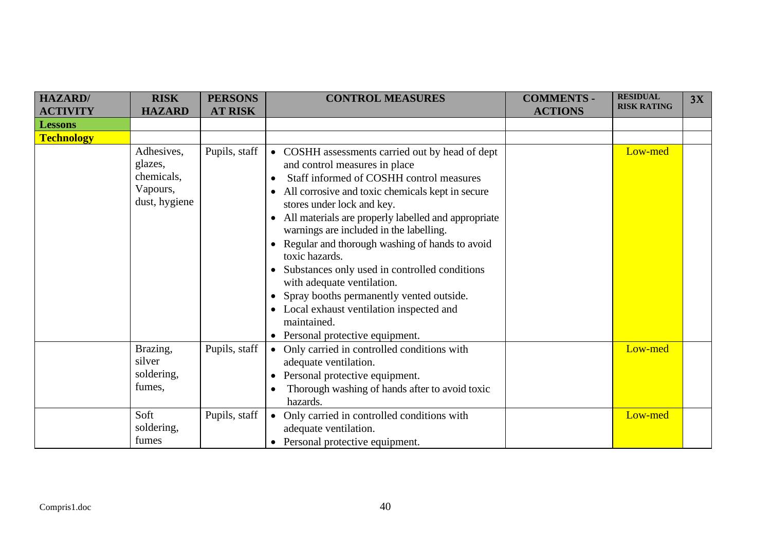| HAZARD/           | <b>RISK</b>         | <b>PERSONS</b> | <b>CONTROL MEASURES</b>                                              | <b>COMMENTS -</b> | <b>RESIDUAL</b><br><b>RISK RATING</b> | 3X |
|-------------------|---------------------|----------------|----------------------------------------------------------------------|-------------------|---------------------------------------|----|
| <b>ACTIVITY</b>   | <b>HAZARD</b>       | <b>AT RISK</b> |                                                                      | <b>ACTIONS</b>    |                                       |    |
| <b>Lessons</b>    |                     |                |                                                                      |                   |                                       |    |
| <b>Technology</b> |                     |                |                                                                      |                   |                                       |    |
|                   | Adhesives,          | Pupils, staff  | • COSHH assessments carried out by head of dept                      |                   | Low-med                               |    |
|                   | glazes,             |                | and control measures in place                                        |                   |                                       |    |
|                   | chemicals,          |                | Staff informed of COSHH control measures                             |                   |                                       |    |
|                   | Vapours,            |                | All corrosive and toxic chemicals kept in secure<br>٠                |                   |                                       |    |
|                   | dust, hygiene       |                | stores under lock and key.                                           |                   |                                       |    |
|                   |                     |                | All materials are properly labelled and appropriate                  |                   |                                       |    |
|                   |                     |                | warnings are included in the labelling.                              |                   |                                       |    |
|                   |                     |                | Regular and thorough washing of hands to avoid                       |                   |                                       |    |
|                   |                     |                | toxic hazards.                                                       |                   |                                       |    |
|                   |                     |                | Substances only used in controlled conditions                        |                   |                                       |    |
|                   |                     |                | with adequate ventilation.                                           |                   |                                       |    |
|                   |                     |                | Spray booths permanently vented outside.                             |                   |                                       |    |
|                   |                     |                | Local exhaust ventilation inspected and                              |                   |                                       |    |
|                   |                     |                | maintained.                                                          |                   |                                       |    |
|                   |                     |                | Personal protective equipment.                                       |                   |                                       |    |
|                   | Brazing,            | Pupils, staff  | • Only carried in controlled conditions with                         |                   | Low-med                               |    |
|                   | silver              |                | adequate ventilation.                                                |                   |                                       |    |
|                   | soldering,          |                | Personal protective equipment.                                       |                   |                                       |    |
|                   | fumes,              |                | Thorough washing of hands after to avoid toxic                       |                   |                                       |    |
|                   |                     |                | hazards.                                                             |                   |                                       |    |
|                   | Soft                | Pupils, staff  | Only carried in controlled conditions with<br>$\bullet$              |                   | Low-med                               |    |
|                   |                     |                |                                                                      |                   |                                       |    |
|                   |                     |                |                                                                      |                   |                                       |    |
|                   | soldering,<br>fumes |                | adequate ventilation.<br>Personal protective equipment.<br>$\bullet$ |                   |                                       |    |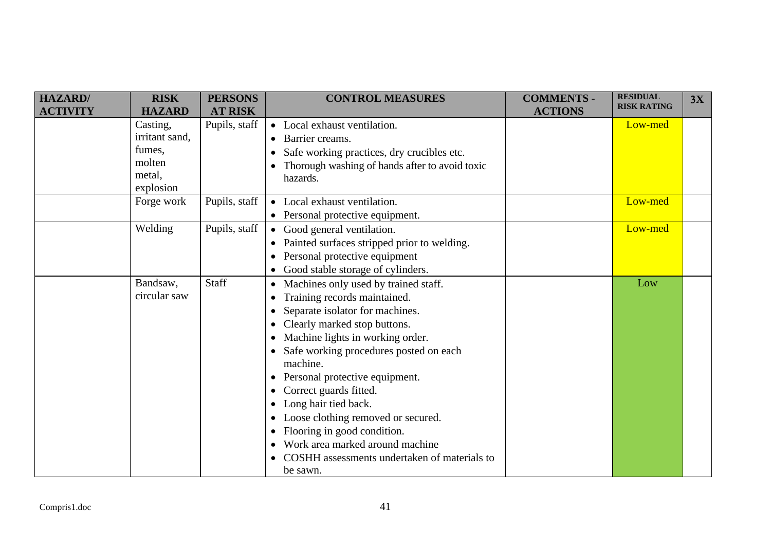| <b>HAZARD</b> / | <b>RISK</b>    | <b>PERSONS</b> | <b>CONTROL MEASURES</b>                         | <b>COMMENTS -</b> | <b>RESIDUAL</b>    | 3X |
|-----------------|----------------|----------------|-------------------------------------------------|-------------------|--------------------|----|
| <b>ACTIVITY</b> | <b>HAZARD</b>  | <b>AT RISK</b> |                                                 | <b>ACTIONS</b>    | <b>RISK RATING</b> |    |
|                 | Casting,       | Pupils, staff  | • Local exhaust ventilation.                    |                   | Low-med            |    |
|                 | irritant sand, |                | • Barrier creams.                               |                   |                    |    |
|                 | fumes,         |                | Safe working practices, dry crucibles etc.      |                   |                    |    |
|                 | molten         |                | Thorough washing of hands after to avoid toxic  |                   |                    |    |
|                 | metal,         |                | hazards.                                        |                   |                    |    |
|                 | explosion      |                |                                                 |                   |                    |    |
|                 | Forge work     | Pupils, staff  | • Local exhaust ventilation.                    |                   | Low-med            |    |
|                 |                |                | • Personal protective equipment.                |                   |                    |    |
|                 | Welding        | Pupils, staff  | • Good general ventilation.                     |                   | Low-med            |    |
|                 |                |                | • Painted surfaces stripped prior to welding.   |                   |                    |    |
|                 |                |                | Personal protective equipment<br>$\bullet$      |                   |                    |    |
|                 |                |                | Good stable storage of cylinders.<br>$\bullet$  |                   |                    |    |
|                 | Bandsaw,       | Staff          | Machines only used by trained staff.            |                   | Low                |    |
|                 | circular saw   |                | Training records maintained.<br>$\bullet$       |                   |                    |    |
|                 |                |                | Separate isolator for machines.<br>$\bullet$    |                   |                    |    |
|                 |                |                | Clearly marked stop buttons.                    |                   |                    |    |
|                 |                |                | Machine lights in working order.                |                   |                    |    |
|                 |                |                | • Safe working procedures posted on each        |                   |                    |    |
|                 |                |                | machine.                                        |                   |                    |    |
|                 |                |                | Personal protective equipment.<br>$\bullet$     |                   |                    |    |
|                 |                |                | Correct guards fitted.<br>$\bullet$             |                   |                    |    |
|                 |                |                | Long hair tied back.                            |                   |                    |    |
|                 |                |                | Loose clothing removed or secured.<br>$\bullet$ |                   |                    |    |
|                 |                |                | Flooring in good condition.                     |                   |                    |    |
|                 |                |                | Work area marked around machine<br>$\bullet$    |                   |                    |    |
|                 |                |                | COSHH assessments undertaken of materials to    |                   |                    |    |
|                 |                |                | be sawn.                                        |                   |                    |    |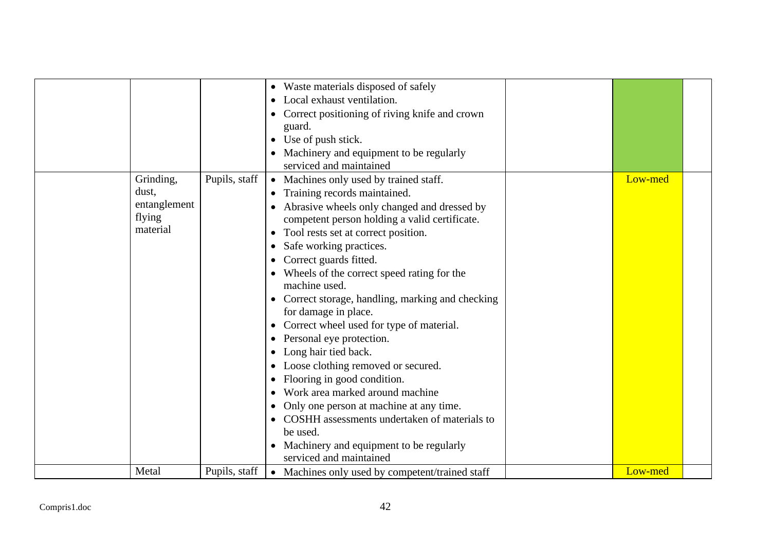|              |              |               | • Waste materials disposed of safely              |         |  |
|--------------|--------------|---------------|---------------------------------------------------|---------|--|
|              |              |               | Local exhaust ventilation.                        |         |  |
|              |              |               | Correct positioning of riving knife and crown     |         |  |
|              |              |               | guard.                                            |         |  |
|              |              |               | Use of push stick.                                |         |  |
|              |              |               | Machinery and equipment to be regularly           |         |  |
|              |              |               | serviced and maintained                           |         |  |
|              | Grinding,    | Pupils, staff | • Machines only used by trained staff.            | Low-med |  |
|              | dust,        |               | Training records maintained.<br>$\bullet$         |         |  |
|              | entanglement |               | Abrasive wheels only changed and dressed by       |         |  |
|              | flying       |               | competent person holding a valid certificate.     |         |  |
|              | material     |               | Tool rests set at correct position.<br>$\bullet$  |         |  |
|              |              |               | Safe working practices.<br>$\bullet$              |         |  |
|              |              |               | Correct guards fitted.                            |         |  |
|              |              |               | Wheels of the correct speed rating for the        |         |  |
|              |              |               | machine used.                                     |         |  |
|              |              |               | • Correct storage, handling, marking and checking |         |  |
|              |              |               | for damage in place.                              |         |  |
|              |              |               | Correct wheel used for type of material.          |         |  |
|              |              |               | Personal eye protection.                          |         |  |
|              |              |               | Long hair tied back.                              |         |  |
|              |              |               | Loose clothing removed or secured.                |         |  |
|              |              |               | Flooring in good condition.                       |         |  |
|              |              |               | Work area marked around machine                   |         |  |
|              |              |               | Only one person at machine at any time.           |         |  |
|              |              |               | COSHH assessments undertaken of materials to      |         |  |
|              |              |               | be used.                                          |         |  |
|              |              |               | • Machinery and equipment to be regularly         |         |  |
|              |              |               | serviced and maintained                           |         |  |
|              | Metal        | Pupils, staff | • Machines only used by competent/trained staff   | Low-med |  |
|              |              |               |                                                   |         |  |
|              |              |               |                                                   |         |  |
| Compris1.doc |              |               | 42                                                |         |  |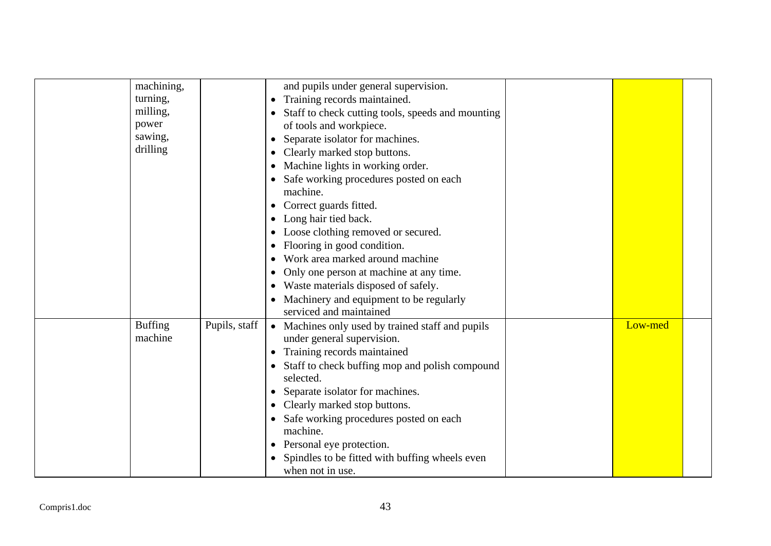| machining,<br>turning,<br>milling,<br>power<br>sawing,<br>drilling |               | and pupils under general supervision.<br>Training records maintained.<br>$\bullet$<br>Staff to check cutting tools, speeds and mounting<br>of tools and workpiece.<br>Separate isolator for machines.<br>$\bullet$<br>Clearly marked stop buttons.<br>$\bullet$<br>Machine lights in working order.<br>$\bullet$<br>Safe working procedures posted on each<br>$\bullet$<br>machine.<br>Correct guards fitted.<br>$\bullet$<br>Long hair tied back.<br>Loose clothing removed or secured.<br>Flooring in good condition.<br>Work area marked around machine<br>$\bullet$ |         |  |
|--------------------------------------------------------------------|---------------|-------------------------------------------------------------------------------------------------------------------------------------------------------------------------------------------------------------------------------------------------------------------------------------------------------------------------------------------------------------------------------------------------------------------------------------------------------------------------------------------------------------------------------------------------------------------------|---------|--|
|                                                                    |               | Only one person at machine at any time.<br>$\bullet$                                                                                                                                                                                                                                                                                                                                                                                                                                                                                                                    |         |  |
|                                                                    |               | Waste materials disposed of safely.<br>Machinery and equipment to be regularly<br>serviced and maintained                                                                                                                                                                                                                                                                                                                                                                                                                                                               |         |  |
| <b>Buffing</b><br>machine                                          | Pupils, staff | • Machines only used by trained staff and pupils<br>under general supervision.<br>Training records maintained<br>$\bullet$<br>Staff to check buffing mop and polish compound<br>$\bullet$<br>selected.<br>Separate isolator for machines.<br>$\bullet$<br>Clearly marked stop buttons.<br>Safe working procedures posted on each<br>machine.<br>Personal eye protection.<br>$\bullet$<br>Spindles to be fitted with buffing wheels even<br>when not in use.                                                                                                             | Low-med |  |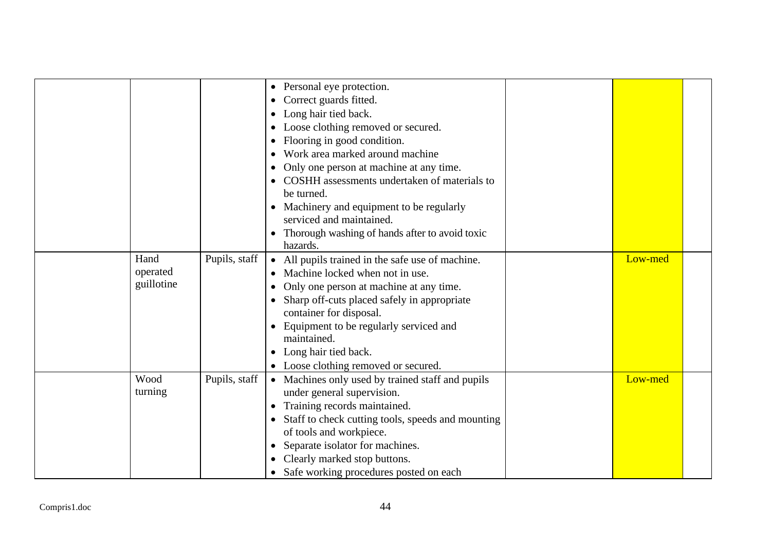|              |                                |               | • Personal eye protection.<br>Correct guards fitted.<br>$\bullet$<br>Long hair tied back.<br>Loose clothing removed or secured.<br>Flooring in good condition.<br>Work area marked around machine<br>Only one person at machine at any time.<br>COSHH assessments undertaken of materials to<br>be turned.<br>• Machinery and equipment to be regularly<br>serviced and maintained. |         |  |
|--------------|--------------------------------|---------------|-------------------------------------------------------------------------------------------------------------------------------------------------------------------------------------------------------------------------------------------------------------------------------------------------------------------------------------------------------------------------------------|---------|--|
|              |                                |               | Thorough washing of hands after to avoid toxic<br>hazards.                                                                                                                                                                                                                                                                                                                          |         |  |
|              | Hand<br>operated<br>guillotine | Pupils, staff | All pupils trained in the safe use of machine.<br>Machine locked when not in use.<br>Only one person at machine at any time.<br>$\bullet$<br>Sharp off-cuts placed safely in appropriate<br>container for disposal.<br>Equipment to be regularly serviced and<br>maintained.<br>Long hair tied back.<br>• Loose clothing removed or secured.                                        | Low-med |  |
|              | Wood<br>turning                | Pupils, staff | • Machines only used by trained staff and pupils<br>under general supervision.<br>Training records maintained.<br>Staff to check cutting tools, speeds and mounting<br>of tools and workpiece.<br>Separate isolator for machines.<br>Clearly marked stop buttons.<br>Safe working procedures posted on each<br>$\bullet$                                                            | Low-med |  |
| Compris1.doc |                                |               | 44                                                                                                                                                                                                                                                                                                                                                                                  |         |  |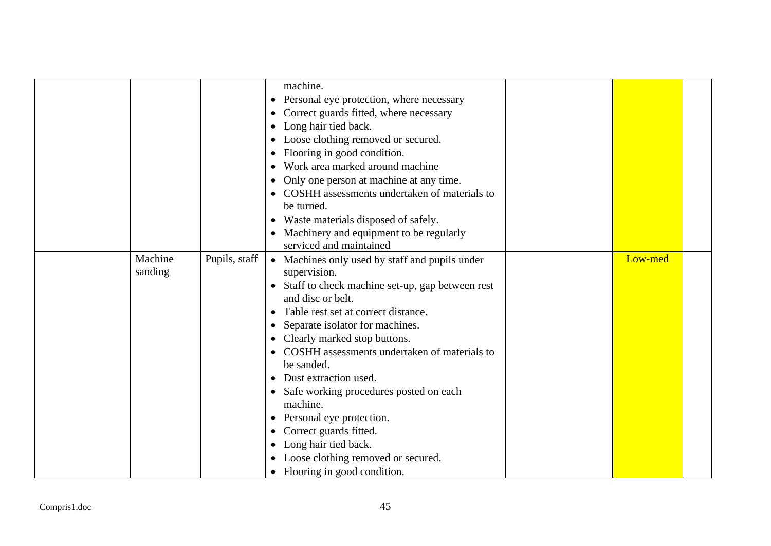|                    |               | machine.<br>• Personal eye protection, where necessary<br>Correct guards fitted, where necessary<br>Long hair tied back.<br>Loose clothing removed or secured.<br>$\bullet$<br>Flooring in good condition.<br>Work area marked around machine<br>Only one person at machine at any time.<br>$\bullet$<br>COSHH assessments undertaken of materials to<br>$\bullet$<br>be turned.<br>Waste materials disposed of safely.<br>$\bullet$<br>• Machinery and equipment to be regularly<br>serviced and maintained                                                                                                                                                   |         |  |
|--------------------|---------------|----------------------------------------------------------------------------------------------------------------------------------------------------------------------------------------------------------------------------------------------------------------------------------------------------------------------------------------------------------------------------------------------------------------------------------------------------------------------------------------------------------------------------------------------------------------------------------------------------------------------------------------------------------------|---------|--|
| Machine<br>sanding | Pupils, staff | • Machines only used by staff and pupils under<br>supervision.<br>Staff to check machine set-up, gap between rest<br>$\bullet$<br>and disc or belt.<br>Table rest set at correct distance.<br>$\bullet$<br>Separate isolator for machines.<br>$\bullet$<br>Clearly marked stop buttons.<br>COSHH assessments undertaken of materials to<br>$\bullet$<br>be sanded.<br>Dust extraction used.<br>$\bullet$<br>• Safe working procedures posted on each<br>machine.<br>Personal eye protection.<br>$\bullet$<br>Correct guards fitted.<br>$\bullet$<br>Long hair tied back.<br>$\bullet$<br>• Loose clothing removed or secured.<br>• Flooring in good condition. | Low-med |  |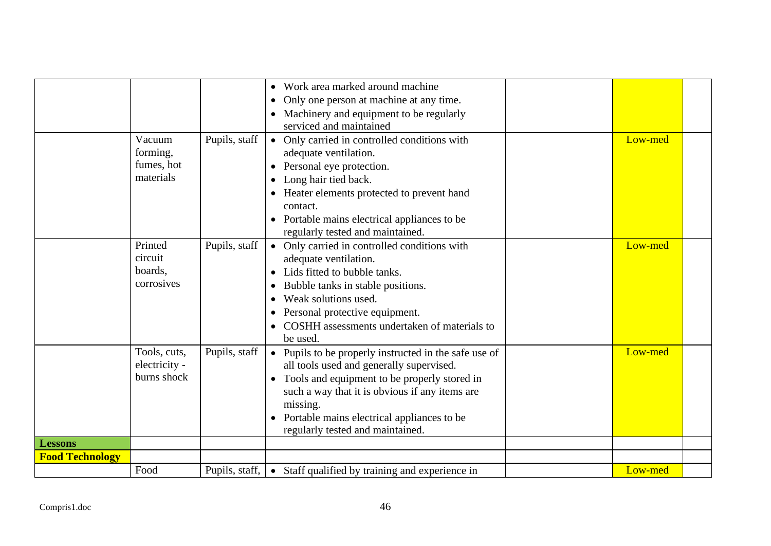|                        | Vacuum<br>forming,<br>fumes, hot<br>materials | Pupils, staff  | Work area marked around machine<br>$\bullet$<br>Only one person at machine at any time.<br>$\bullet$<br>Machinery and equipment to be regularly<br>$\bullet$<br>serviced and maintained<br>• Only carried in controlled conditions with<br>adequate ventilation.<br>Personal eye protection.<br>Long hair tied back.<br>$\bullet$<br>Heater elements protected to prevent hand<br>contact.<br>Portable mains electrical appliances to be<br>regularly tested and maintained. | Low-med |  |
|------------------------|-----------------------------------------------|----------------|------------------------------------------------------------------------------------------------------------------------------------------------------------------------------------------------------------------------------------------------------------------------------------------------------------------------------------------------------------------------------------------------------------------------------------------------------------------------------|---------|--|
|                        | Printed<br>circuit<br>boards,<br>corrosives   | Pupils, staff  | • Only carried in controlled conditions with<br>adequate ventilation.<br>Lids fitted to bubble tanks.<br>Bubble tanks in stable positions.<br>$\bullet$<br>Weak solutions used.<br>$\bullet$<br>Personal protective equipment.<br>$\bullet$<br>COSHH assessments undertaken of materials to<br>$\bullet$<br>be used.                                                                                                                                                         | Low-med |  |
|                        | Tools, cuts,<br>electricity -<br>burns shock  | Pupils, staff  | • Pupils to be properly instructed in the safe use of<br>all tools used and generally supervised.<br>Tools and equipment to be properly stored in<br>such a way that it is obvious if any items are<br>missing.<br>Portable mains electrical appliances to be<br>regularly tested and maintained.                                                                                                                                                                            | Low-med |  |
| <b>Lessons</b>         |                                               |                |                                                                                                                                                                                                                                                                                                                                                                                                                                                                              |         |  |
| <b>Food Technology</b> |                                               |                |                                                                                                                                                                                                                                                                                                                                                                                                                                                                              |         |  |
|                        | Food                                          | Pupils, staff, | • Staff qualified by training and experience in                                                                                                                                                                                                                                                                                                                                                                                                                              | Low-med |  |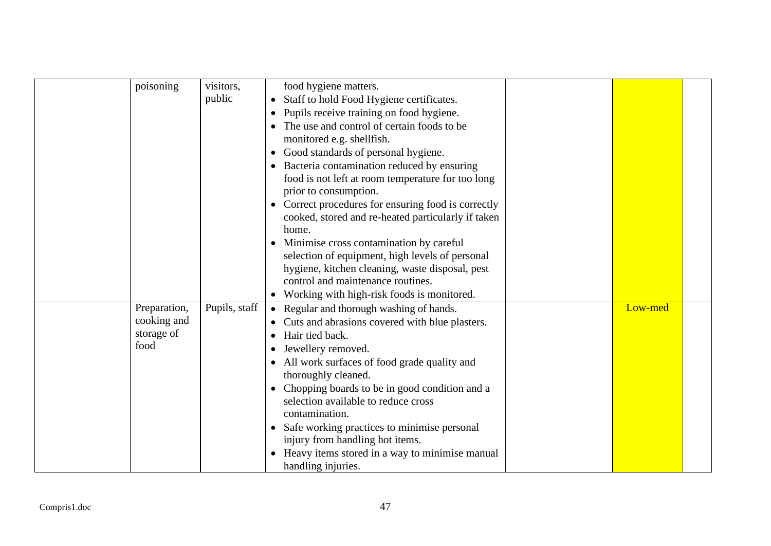| poisoning                                         | visitors,<br>public | food hygiene matters.<br>Staff to hold Food Hygiene certificates.<br>$\bullet$<br>Pupils receive training on food hygiene.<br>$\bullet$<br>The use and control of certain foods to be<br>monitored e.g. shellfish.<br>Good standards of personal hygiene.<br>$\bullet$<br>Bacteria contamination reduced by ensuring<br>$\bullet$<br>food is not left at room temperature for too long<br>prior to consumption.<br>• Correct procedures for ensuring food is correctly<br>cooked, stored and re-heated particularly if taken<br>home.<br>Minimise cross contamination by careful<br>$\bullet$<br>selection of equipment, high levels of personal<br>hygiene, kitchen cleaning, waste disposal, pest<br>control and maintenance routines.<br>Working with high-risk foods is monitored.<br>$\bullet$ |         |  |
|---------------------------------------------------|---------------------|-----------------------------------------------------------------------------------------------------------------------------------------------------------------------------------------------------------------------------------------------------------------------------------------------------------------------------------------------------------------------------------------------------------------------------------------------------------------------------------------------------------------------------------------------------------------------------------------------------------------------------------------------------------------------------------------------------------------------------------------------------------------------------------------------------|---------|--|
| Preparation,<br>cooking and<br>storage of<br>food | Pupils, staff       | • Regular and thorough washing of hands.<br>Cuts and abrasions covered with blue plasters.<br>Hair tied back.<br>$\bullet$<br>Jewellery removed.<br>$\bullet$<br>• All work surfaces of food grade quality and<br>thoroughly cleaned.<br>Chopping boards to be in good condition and a<br>$\bullet$<br>selection available to reduce cross<br>contamination.<br>Safe working practices to minimise personal<br>$\bullet$<br>injury from handling hot items.<br>Heavy items stored in a way to minimise manual<br>handling injuries.                                                                                                                                                                                                                                                                 | Low-med |  |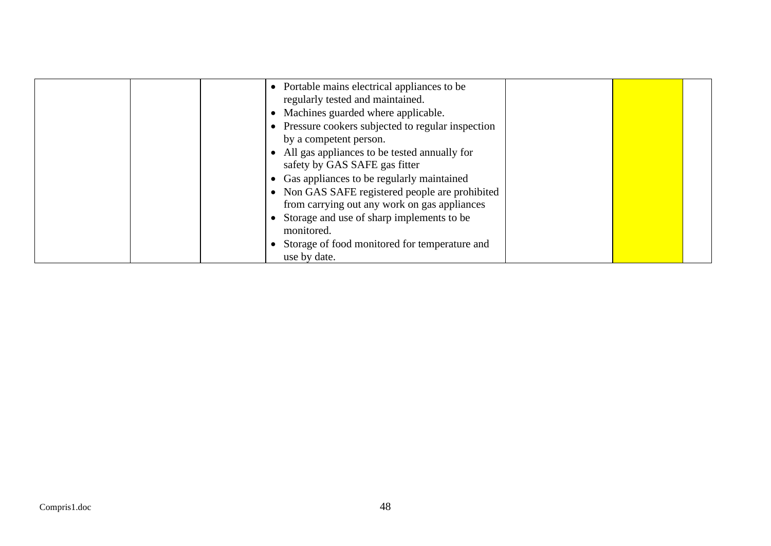| • Portable mains electrical appliances to be<br>regularly tested and maintained.<br>Machines guarded where applicable.<br>Pressure cookers subjected to regular inspection<br>by a competent person.                                                                         |  |
|------------------------------------------------------------------------------------------------------------------------------------------------------------------------------------------------------------------------------------------------------------------------------|--|
| All gas appliances to be tested annually for<br>safety by GAS SAFE gas fitter<br>• Gas appliances to be regularly maintained<br>• Non GAS SAFE registered people are prohibited<br>from carrying out any work on gas appliances<br>Storage and use of sharp implements to be |  |
| monitored.<br>Storage of food monitored for temperature and<br>use by date.                                                                                                                                                                                                  |  |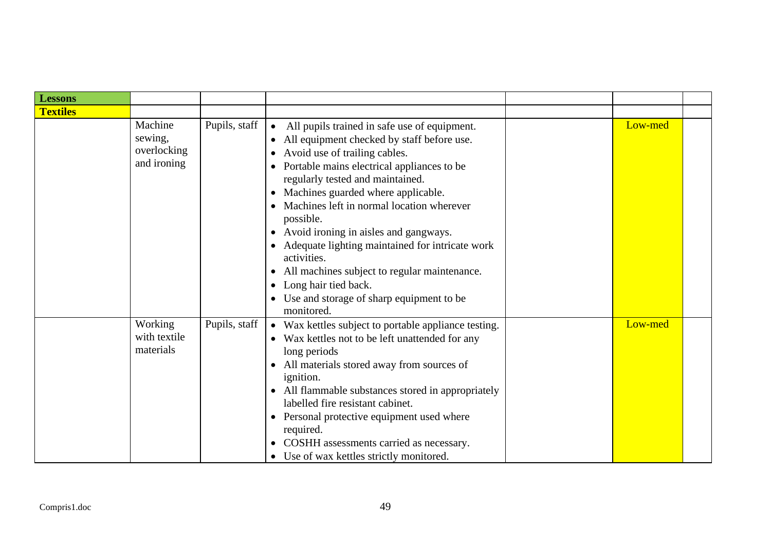| <b>Lessons</b>  |                                                  |               |                                                                                                                                                                                                                                                                                                                                                                                                                                                                                                                                                                                        |         |  |
|-----------------|--------------------------------------------------|---------------|----------------------------------------------------------------------------------------------------------------------------------------------------------------------------------------------------------------------------------------------------------------------------------------------------------------------------------------------------------------------------------------------------------------------------------------------------------------------------------------------------------------------------------------------------------------------------------------|---------|--|
| <b>Textiles</b> |                                                  |               |                                                                                                                                                                                                                                                                                                                                                                                                                                                                                                                                                                                        |         |  |
|                 | Machine<br>sewing,<br>overlocking<br>and ironing | Pupils, staff | All pupils trained in safe use of equipment.<br>$\bullet$<br>All equipment checked by staff before use.<br>$\bullet$<br>Avoid use of trailing cables.<br>Portable mains electrical appliances to be<br>regularly tested and maintained.<br>Machines guarded where applicable.<br>Machines left in normal location wherever<br>possible.<br>Avoid ironing in aisles and gangways.<br>Adequate lighting maintained for intricate work<br>activities.<br>All machines subject to regular maintenance.<br>Long hair tied back.<br>• Use and storage of sharp equipment to be<br>monitored. | Low-med |  |
|                 | Working<br>with textile<br>materials             | Pupils, staff | • Wax kettles subject to portable appliance testing.<br>• Wax kettles not to be left unattended for any<br>long periods<br>All materials stored away from sources of<br><i>ignition.</i><br>All flammable substances stored in appropriately<br>$\bullet$<br>labelled fire resistant cabinet.<br>Personal protective equipment used where<br>$\bullet$<br>required.<br>COSHH assessments carried as necessary.<br>Use of wax kettles strictly monitored.                                                                                                                               | Low-med |  |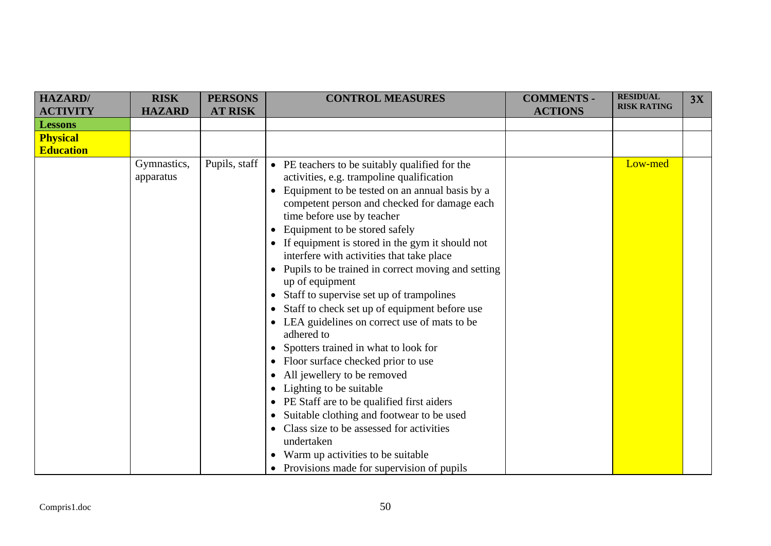| <b>HAZARD</b>    | <b>RISK</b>   | <b>PERSONS</b> | <b>CONTROL MEASURES</b>                                         | <b>COMMENTS -</b> | <b>RESIDUAL</b>    | 3X |
|------------------|---------------|----------------|-----------------------------------------------------------------|-------------------|--------------------|----|
| <b>ACTIVITY</b>  | <b>HAZARD</b> | <b>AT RISK</b> |                                                                 | <b>ACTIONS</b>    | <b>RISK RATING</b> |    |
| <b>Lessons</b>   |               |                |                                                                 |                   |                    |    |
| <b>Physical</b>  |               |                |                                                                 |                   |                    |    |
| <b>Education</b> |               |                |                                                                 |                   |                    |    |
|                  | Gymnastics,   | Pupils, staff  | • PE teachers to be suitably qualified for the                  |                   | Low-med            |    |
|                  | apparatus     |                | activities, e.g. trampoline qualification                       |                   |                    |    |
|                  |               |                | Equipment to be tested on an annual basis by a<br>$\bullet$     |                   |                    |    |
|                  |               |                | competent person and checked for damage each                    |                   |                    |    |
|                  |               |                | time before use by teacher                                      |                   |                    |    |
|                  |               |                | Equipment to be stored safely<br>$\bullet$                      |                   |                    |    |
|                  |               |                | • If equipment is stored in the gym it should not               |                   |                    |    |
|                  |               |                | interfere with activities that take place                       |                   |                    |    |
|                  |               |                | Pupils to be trained in correct moving and setting<br>$\bullet$ |                   |                    |    |
|                  |               |                | up of equipment                                                 |                   |                    |    |
|                  |               |                | Staff to supervise set up of trampolines<br>$\bullet$           |                   |                    |    |
|                  |               |                | Staff to check set up of equipment before use<br>$\bullet$      |                   |                    |    |
|                  |               |                | • LEA guidelines on correct use of mats to be                   |                   |                    |    |
|                  |               |                | adhered to                                                      |                   |                    |    |
|                  |               |                | • Spotters trained in what to look for                          |                   |                    |    |
|                  |               |                | Floor surface checked prior to use<br>$\bullet$                 |                   |                    |    |
|                  |               |                | All jewellery to be removed                                     |                   |                    |    |
|                  |               |                | Lighting to be suitable<br>$\bullet$                            |                   |                    |    |
|                  |               |                | • PE Staff are to be qualified first aiders                     |                   |                    |    |
|                  |               |                | Suitable clothing and footwear to be used<br>$\bullet$          |                   |                    |    |
|                  |               |                | Class size to be assessed for activities                        |                   |                    |    |
|                  |               |                | undertaken                                                      |                   |                    |    |
|                  |               |                | Warm up activities to be suitable                               |                   |                    |    |
|                  |               |                | • Provisions made for supervision of pupils                     |                   |                    |    |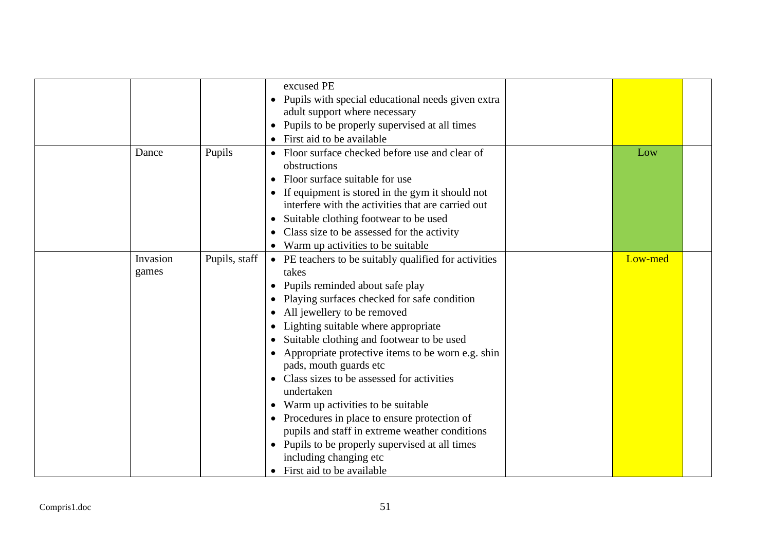| excused PE<br>• Pupils with special educational needs given extra<br>adult support where necessary<br>• Pupils to be properly supervised at all times<br>• First aid to be available<br>Pupils<br>• Floor surface checked before use and clear of<br>Dance<br>Low<br>obstructions<br>Floor surface suitable for use<br>If equipment is stored in the gym it should not<br>interfere with the activities that are carried out<br>Suitable clothing footwear to be used<br>$\bullet$<br>Class size to be assessed for the activity<br>• Warm up activities to be suitable<br>Pupils, staff<br>Invasion<br>Low-med<br>• PE teachers to be suitably qualified for activities<br>takes<br>games<br>Pupils reminded about safe play<br>$\bullet$<br>Playing surfaces checked for safe condition<br>All jewellery to be removed<br>$\bullet$<br>Lighting suitable where appropriate<br>Suitable clothing and footwear to be used<br>$\bullet$<br>Appropriate protective items to be worn e.g. shin<br>pads, mouth guards etc<br>Class sizes to be assessed for activities<br>$\bullet$<br>undertaken<br>Warm up activities to be suitable<br>Procedures in place to ensure protection of<br>pupils and staff in extreme weather conditions<br>• Pupils to be properly supervised at all times<br>including changing etc<br>• First aid to be available |  |  |  |
|-------------------------------------------------------------------------------------------------------------------------------------------------------------------------------------------------------------------------------------------------------------------------------------------------------------------------------------------------------------------------------------------------------------------------------------------------------------------------------------------------------------------------------------------------------------------------------------------------------------------------------------------------------------------------------------------------------------------------------------------------------------------------------------------------------------------------------------------------------------------------------------------------------------------------------------------------------------------------------------------------------------------------------------------------------------------------------------------------------------------------------------------------------------------------------------------------------------------------------------------------------------------------------------------------------------------------------------------------|--|--|--|
|                                                                                                                                                                                                                                                                                                                                                                                                                                                                                                                                                                                                                                                                                                                                                                                                                                                                                                                                                                                                                                                                                                                                                                                                                                                                                                                                                 |  |  |  |
|                                                                                                                                                                                                                                                                                                                                                                                                                                                                                                                                                                                                                                                                                                                                                                                                                                                                                                                                                                                                                                                                                                                                                                                                                                                                                                                                                 |  |  |  |
|                                                                                                                                                                                                                                                                                                                                                                                                                                                                                                                                                                                                                                                                                                                                                                                                                                                                                                                                                                                                                                                                                                                                                                                                                                                                                                                                                 |  |  |  |
|                                                                                                                                                                                                                                                                                                                                                                                                                                                                                                                                                                                                                                                                                                                                                                                                                                                                                                                                                                                                                                                                                                                                                                                                                                                                                                                                                 |  |  |  |
|                                                                                                                                                                                                                                                                                                                                                                                                                                                                                                                                                                                                                                                                                                                                                                                                                                                                                                                                                                                                                                                                                                                                                                                                                                                                                                                                                 |  |  |  |
|                                                                                                                                                                                                                                                                                                                                                                                                                                                                                                                                                                                                                                                                                                                                                                                                                                                                                                                                                                                                                                                                                                                                                                                                                                                                                                                                                 |  |  |  |
|                                                                                                                                                                                                                                                                                                                                                                                                                                                                                                                                                                                                                                                                                                                                                                                                                                                                                                                                                                                                                                                                                                                                                                                                                                                                                                                                                 |  |  |  |
|                                                                                                                                                                                                                                                                                                                                                                                                                                                                                                                                                                                                                                                                                                                                                                                                                                                                                                                                                                                                                                                                                                                                                                                                                                                                                                                                                 |  |  |  |
|                                                                                                                                                                                                                                                                                                                                                                                                                                                                                                                                                                                                                                                                                                                                                                                                                                                                                                                                                                                                                                                                                                                                                                                                                                                                                                                                                 |  |  |  |
|                                                                                                                                                                                                                                                                                                                                                                                                                                                                                                                                                                                                                                                                                                                                                                                                                                                                                                                                                                                                                                                                                                                                                                                                                                                                                                                                                 |  |  |  |
|                                                                                                                                                                                                                                                                                                                                                                                                                                                                                                                                                                                                                                                                                                                                                                                                                                                                                                                                                                                                                                                                                                                                                                                                                                                                                                                                                 |  |  |  |
|                                                                                                                                                                                                                                                                                                                                                                                                                                                                                                                                                                                                                                                                                                                                                                                                                                                                                                                                                                                                                                                                                                                                                                                                                                                                                                                                                 |  |  |  |
|                                                                                                                                                                                                                                                                                                                                                                                                                                                                                                                                                                                                                                                                                                                                                                                                                                                                                                                                                                                                                                                                                                                                                                                                                                                                                                                                                 |  |  |  |
|                                                                                                                                                                                                                                                                                                                                                                                                                                                                                                                                                                                                                                                                                                                                                                                                                                                                                                                                                                                                                                                                                                                                                                                                                                                                                                                                                 |  |  |  |
|                                                                                                                                                                                                                                                                                                                                                                                                                                                                                                                                                                                                                                                                                                                                                                                                                                                                                                                                                                                                                                                                                                                                                                                                                                                                                                                                                 |  |  |  |
|                                                                                                                                                                                                                                                                                                                                                                                                                                                                                                                                                                                                                                                                                                                                                                                                                                                                                                                                                                                                                                                                                                                                                                                                                                                                                                                                                 |  |  |  |
|                                                                                                                                                                                                                                                                                                                                                                                                                                                                                                                                                                                                                                                                                                                                                                                                                                                                                                                                                                                                                                                                                                                                                                                                                                                                                                                                                 |  |  |  |
|                                                                                                                                                                                                                                                                                                                                                                                                                                                                                                                                                                                                                                                                                                                                                                                                                                                                                                                                                                                                                                                                                                                                                                                                                                                                                                                                                 |  |  |  |
|                                                                                                                                                                                                                                                                                                                                                                                                                                                                                                                                                                                                                                                                                                                                                                                                                                                                                                                                                                                                                                                                                                                                                                                                                                                                                                                                                 |  |  |  |
|                                                                                                                                                                                                                                                                                                                                                                                                                                                                                                                                                                                                                                                                                                                                                                                                                                                                                                                                                                                                                                                                                                                                                                                                                                                                                                                                                 |  |  |  |
|                                                                                                                                                                                                                                                                                                                                                                                                                                                                                                                                                                                                                                                                                                                                                                                                                                                                                                                                                                                                                                                                                                                                                                                                                                                                                                                                                 |  |  |  |
|                                                                                                                                                                                                                                                                                                                                                                                                                                                                                                                                                                                                                                                                                                                                                                                                                                                                                                                                                                                                                                                                                                                                                                                                                                                                                                                                                 |  |  |  |
|                                                                                                                                                                                                                                                                                                                                                                                                                                                                                                                                                                                                                                                                                                                                                                                                                                                                                                                                                                                                                                                                                                                                                                                                                                                                                                                                                 |  |  |  |
|                                                                                                                                                                                                                                                                                                                                                                                                                                                                                                                                                                                                                                                                                                                                                                                                                                                                                                                                                                                                                                                                                                                                                                                                                                                                                                                                                 |  |  |  |
|                                                                                                                                                                                                                                                                                                                                                                                                                                                                                                                                                                                                                                                                                                                                                                                                                                                                                                                                                                                                                                                                                                                                                                                                                                                                                                                                                 |  |  |  |
|                                                                                                                                                                                                                                                                                                                                                                                                                                                                                                                                                                                                                                                                                                                                                                                                                                                                                                                                                                                                                                                                                                                                                                                                                                                                                                                                                 |  |  |  |
|                                                                                                                                                                                                                                                                                                                                                                                                                                                                                                                                                                                                                                                                                                                                                                                                                                                                                                                                                                                                                                                                                                                                                                                                                                                                                                                                                 |  |  |  |
|                                                                                                                                                                                                                                                                                                                                                                                                                                                                                                                                                                                                                                                                                                                                                                                                                                                                                                                                                                                                                                                                                                                                                                                                                                                                                                                                                 |  |  |  |
|                                                                                                                                                                                                                                                                                                                                                                                                                                                                                                                                                                                                                                                                                                                                                                                                                                                                                                                                                                                                                                                                                                                                                                                                                                                                                                                                                 |  |  |  |
|                                                                                                                                                                                                                                                                                                                                                                                                                                                                                                                                                                                                                                                                                                                                                                                                                                                                                                                                                                                                                                                                                                                                                                                                                                                                                                                                                 |  |  |  |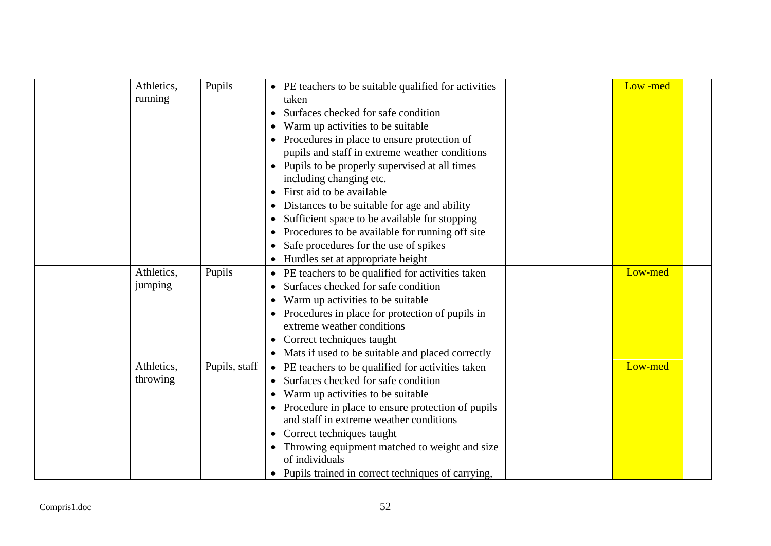| Athletics,<br>running | Pupils        | • PE teachers to be suitable qualified for activities<br>taken<br>Surfaces checked for safe condition<br>$\bullet$<br>Warm up activities to be suitable.<br>Procedures in place to ensure protection of<br>pupils and staff in extreme weather conditions<br>Pupils to be properly supervised at all times<br>including changing etc.<br>First aid to be available<br>$\bullet$<br>Distances to be suitable for age and ability<br>$\bullet$<br>Sufficient space to be available for stopping<br>$\bullet$<br>Procedures to be available for running off site<br>$\bullet$<br>Safe procedures for the use of spikes<br>$\bullet$ | Low-med |
|-----------------------|---------------|----------------------------------------------------------------------------------------------------------------------------------------------------------------------------------------------------------------------------------------------------------------------------------------------------------------------------------------------------------------------------------------------------------------------------------------------------------------------------------------------------------------------------------------------------------------------------------------------------------------------------------|---------|
|                       |               | Hurdles set at appropriate height<br>$\bullet$                                                                                                                                                                                                                                                                                                                                                                                                                                                                                                                                                                                   |         |
| Athletics,<br>jumping | Pupils        | PE teachers to be qualified for activities taken<br>$\bullet$<br>Surfaces checked for safe condition<br>$\bullet$<br>Warm up activities to be suitable<br>Procedures in place for protection of pupils in<br>extreme weather conditions<br>Correct techniques taught<br>• Mats if used to be suitable and placed correctly                                                                                                                                                                                                                                                                                                       | Low-med |
| Athletics,            | Pupils, staff | • PE teachers to be qualified for activities taken                                                                                                                                                                                                                                                                                                                                                                                                                                                                                                                                                                               | Low-med |
| throwing              |               | Surfaces checked for safe condition<br>$\bullet$<br>Warm up activities to be suitable.<br>$\bullet$<br>Procedure in place to ensure protection of pupils<br>$\bullet$<br>and staff in extreme weather conditions<br>Correct techniques taught<br>$\bullet$<br>Throwing equipment matched to weight and size<br>of individuals<br>Pupils trained in correct techniques of carrying,<br>$\bullet$                                                                                                                                                                                                                                  |         |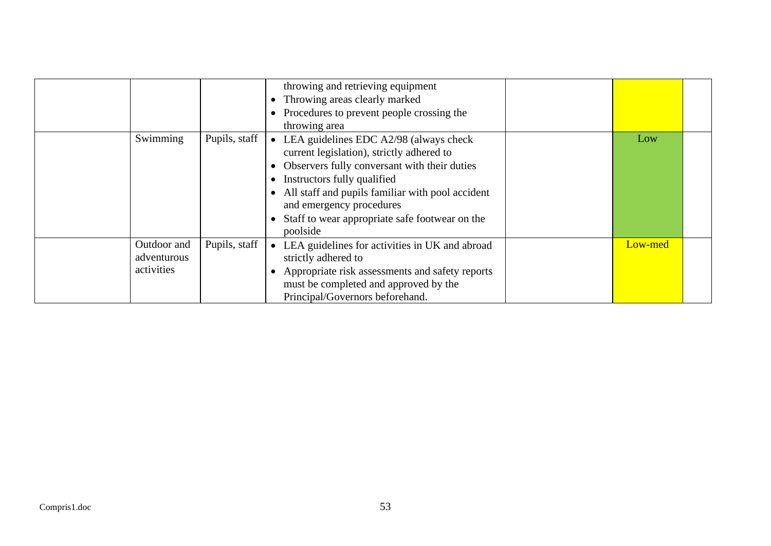|                                          |               | throwing and retrieving equipment<br>Throwing areas clearly marked<br>Procedures to prevent people crossing the<br>$\bullet$<br>throwing area                                                                                                                                                                                     |         |  |
|------------------------------------------|---------------|-----------------------------------------------------------------------------------------------------------------------------------------------------------------------------------------------------------------------------------------------------------------------------------------------------------------------------------|---------|--|
| Swimming                                 | Pupils, staff | • LEA guidelines EDC $A2/98$ (always check<br>current legislation), strictly adhered to<br>Observers fully conversant with their duties<br>Instructors fully qualified<br>$\bullet$<br>All staff and pupils familiar with pool accident<br>and emergency procedures<br>Staff to wear appropriate safe footwear on the<br>poolside | Low     |  |
| Outdoor and<br>adventurous<br>activities | Pupils, staff | LEA guidelines for activities in UK and abroad<br>strictly adhered to<br>Appropriate risk assessments and safety reports<br>must be completed and approved by the<br>Principal/Governors beforehand.                                                                                                                              | Low-med |  |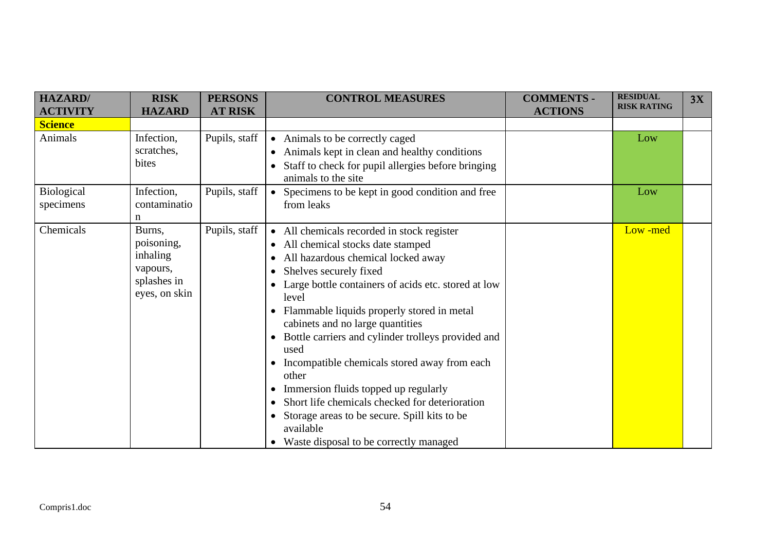| <b>HAZARD/</b><br><b>ACTIVITY</b> | <b>RISK</b><br><b>HAZARD</b>                                                 | <b>PERSONS</b><br><b>AT RISK</b> | <b>CONTROL MEASURES</b>                                                                                                                                                                                                                                                                                                                                                                                                                                                                                                                                                                                                                                                                       | <b>COMMENTS -</b><br><b>ACTIONS</b> | <b>RESIDUAL</b><br><b>RISK RATING</b> | 3X |
|-----------------------------------|------------------------------------------------------------------------------|----------------------------------|-----------------------------------------------------------------------------------------------------------------------------------------------------------------------------------------------------------------------------------------------------------------------------------------------------------------------------------------------------------------------------------------------------------------------------------------------------------------------------------------------------------------------------------------------------------------------------------------------------------------------------------------------------------------------------------------------|-------------------------------------|---------------------------------------|----|
| <b>Science</b>                    |                                                                              |                                  |                                                                                                                                                                                                                                                                                                                                                                                                                                                                                                                                                                                                                                                                                               |                                     |                                       |    |
| Animals                           | Infection,<br>scratches,<br>bites                                            | Pupils, staff                    | • Animals to be correctly caged<br>• Animals kept in clean and healthy conditions<br>Staff to check for pupil allergies before bringing<br>animals to the site.                                                                                                                                                                                                                                                                                                                                                                                                                                                                                                                               |                                     | Low                                   |    |
| <b>Biological</b><br>specimens    | Infection,<br>contaminatio<br>n                                              | Pupils, staff                    | • Specimens to be kept in good condition and free<br>from leaks                                                                                                                                                                                                                                                                                                                                                                                                                                                                                                                                                                                                                               |                                     | Low                                   |    |
| Chemicals                         | Burns,<br>poisoning,<br>inhaling<br>vapours,<br>splashes in<br>eyes, on skin | Pupils, staff                    | • All chemicals recorded in stock register<br>• All chemical stocks date stamped<br>All hazardous chemical locked away<br>Shelves securely fixed<br>Large bottle containers of acids etc. stored at low<br>$\bullet$<br>level<br>Flammable liquids properly stored in metal<br>cabinets and no large quantities<br>Bottle carriers and cylinder trolleys provided and<br>$\bullet$<br>used<br>Incompatible chemicals stored away from each<br>$\bullet$<br>other<br>Immersion fluids topped up regularly<br>$\bullet$<br>Short life chemicals checked for deterioration<br>Storage areas to be secure. Spill kits to be<br>$\bullet$<br>available<br>• Waste disposal to be correctly managed |                                     | Low-med                               |    |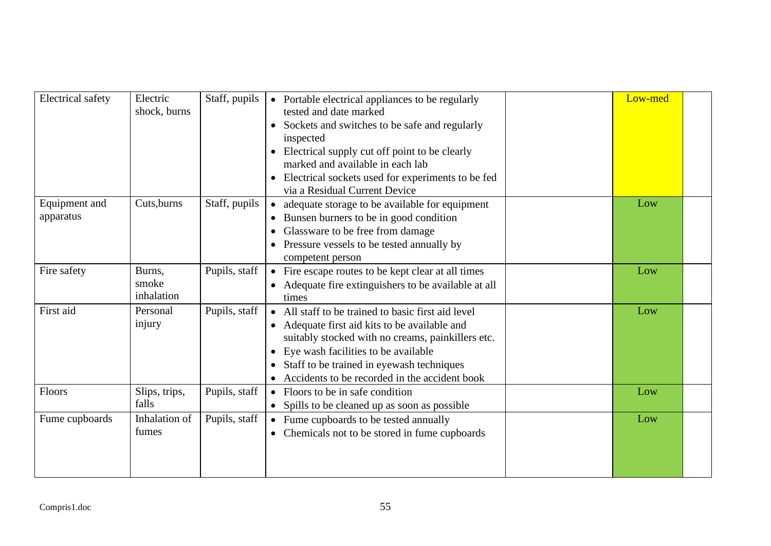| <b>Electrical</b> safety | Electric<br>shock, burns | Staff, pupils | • Portable electrical appliances to be regularly<br>tested and date marked | Low-med |  |
|--------------------------|--------------------------|---------------|----------------------------------------------------------------------------|---------|--|
|                          |                          |               | Sockets and switches to be safe and regularly                              |         |  |
|                          |                          |               | inspected                                                                  |         |  |
|                          |                          |               | Electrical supply cut off point to be clearly                              |         |  |
|                          |                          |               | marked and available in each lab                                           |         |  |
|                          |                          |               | Electrical sockets used for experiments to be fed                          |         |  |
|                          |                          |               | via a Residual Current Device                                              |         |  |
| Equipment and            | Cuts, burns              | Staff, pupils | adequate storage to be available for equipment<br>$\bullet$                | Low     |  |
| apparatus                |                          |               | Bunsen burners to be in good condition                                     |         |  |
|                          |                          |               | Glassware to be free from damage                                           |         |  |
|                          |                          |               | Pressure vessels to be tested annually by                                  |         |  |
|                          |                          |               | competent person                                                           |         |  |
| Fire safety              | Burns,                   | Pupils, staff | Fire escape routes to be kept clear at all times<br>$\bullet$              | Low     |  |
|                          | smoke                    |               | Adequate fire extinguishers to be available at all                         |         |  |
|                          | inhalation               |               | times                                                                      |         |  |
| First aid                | Personal                 | Pupils, staff | • All staff to be trained to basic first aid level                         | Low     |  |
|                          | injury                   |               | Adequate first aid kits to be available and                                |         |  |
|                          |                          |               | suitably stocked with no creams, painkillers etc.                          |         |  |
|                          |                          |               | Eye wash facilities to be available<br>$\bullet$                           |         |  |
|                          |                          |               | Staff to be trained in eyewash techniques                                  |         |  |
|                          |                          |               | Accidents to be recorded in the accident book                              |         |  |
| Floors                   | Slips, trips,            | Pupils, staff | • Floors to be in safe condition                                           | Low     |  |
|                          | falls                    |               | • Spills to be cleaned up as soon as possible                              |         |  |
| Fume cupboards           | Inhalation of            | Pupils, staff | • Fume cupboards to be tested annually                                     | Low     |  |
|                          | fumes                    |               | Chemicals not to be stored in fume cupboards<br>$\bullet$                  |         |  |
|                          |                          |               |                                                                            |         |  |
|                          |                          |               |                                                                            |         |  |
|                          |                          |               |                                                                            |         |  |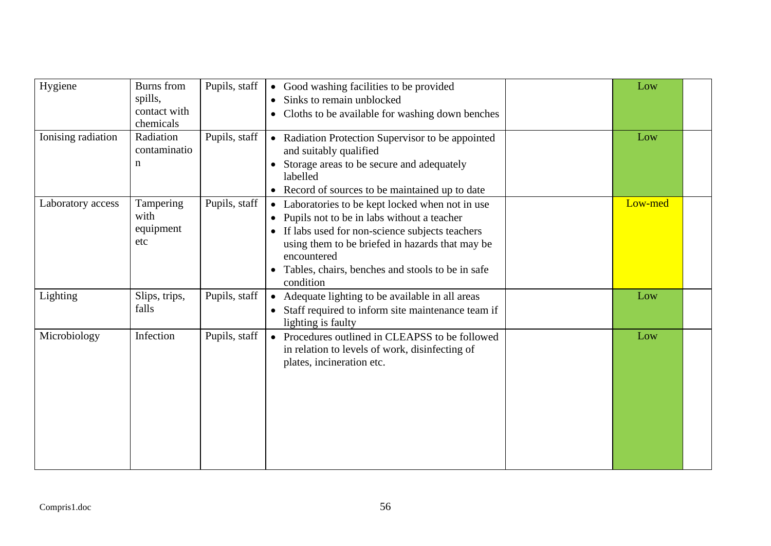| Hygiene            | Burns from<br>spills,<br>contact with<br>chemicals | Pupils, staff | • Good washing facilities to be provided<br>Sinks to remain unblocked<br>$\bullet$<br>Cloths to be available for washing down benches                                                                                                                                               | Low     |  |
|--------------------|----------------------------------------------------|---------------|-------------------------------------------------------------------------------------------------------------------------------------------------------------------------------------------------------------------------------------------------------------------------------------|---------|--|
| Ionising radiation | Radiation<br>contaminatio<br>n                     | Pupils, staff | • Radiation Protection Supervisor to be appointed<br>and suitably qualified<br>Storage areas to be secure and adequately<br>labelled<br>Record of sources to be maintained up to date<br>$\bullet$                                                                                  | Low     |  |
| Laboratory access  | Tampering<br>with<br>equipment<br>etc              | Pupils, staff | • Laboratories to be kept locked when not in use<br>Pupils not to be in labs without a teacher<br>If labs used for non-science subjects teachers<br>using them to be briefed in hazards that may be<br>encountered<br>Tables, chairs, benches and stools to be in safe<br>condition | Low-med |  |
| Lighting           | Slips, trips,<br>falls                             | Pupils, staff | Adequate lighting to be available in all areas<br>$\bullet$<br>Staff required to inform site maintenance team if<br>lighting is faulty                                                                                                                                              | Low     |  |
| Microbiology       | Infection                                          | Pupils, staff | • Procedures outlined in CLEAPSS to be followed<br>in relation to levels of work, disinfecting of<br>plates, incineration etc.                                                                                                                                                      | Low     |  |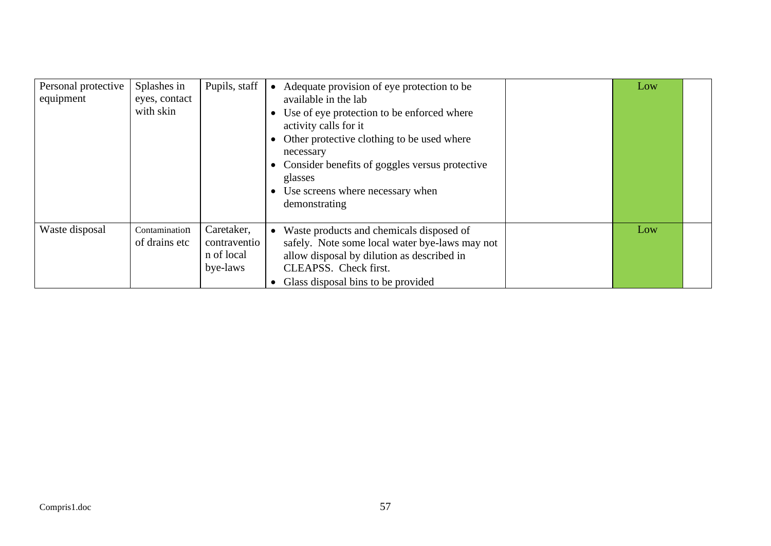| Personal protective<br>equipment | Splashes in<br>eyes, contact<br>with skin | Pupils, staff                                        | Adequate provision of eye protection to be<br>available in the lab<br>Use of eye protection to be enforced where<br>activity calls for it<br>Other protective clothing to be used where<br>necessary<br>Consider benefits of goggles versus protective<br>glasses<br>Use screens where necessary when<br>demonstrating | Low |  |
|----------------------------------|-------------------------------------------|------------------------------------------------------|------------------------------------------------------------------------------------------------------------------------------------------------------------------------------------------------------------------------------------------------------------------------------------------------------------------------|-----|--|
| Waste disposal                   | Contamination<br>of drains etc            | Caretaker,<br>contraventio<br>n of local<br>bye-laws | Waste products and chemicals disposed of<br>$\bullet$<br>safely. Note some local water bye-laws may not<br>allow disposal by dilution as described in<br>CLEAPSS. Check first.<br>Glass disposal bins to be provided                                                                                                   | Low |  |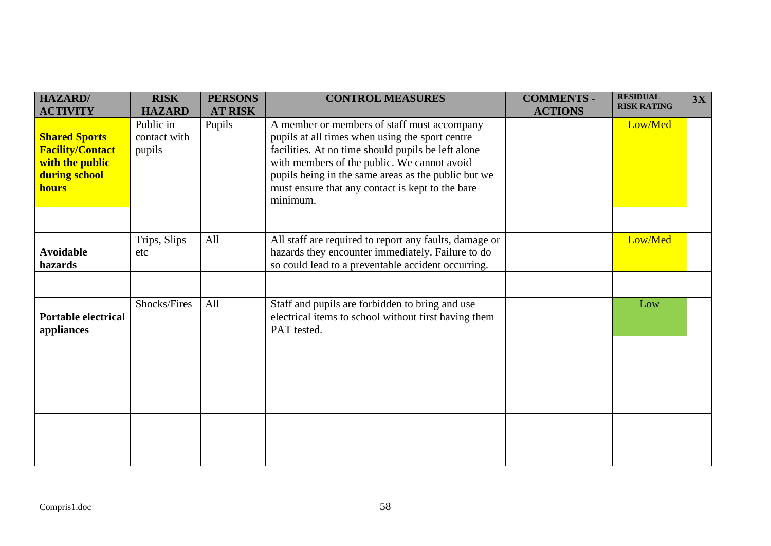| <b>HAZARD</b><br><b>ACTIVITY</b>                                                                    | <b>RISK</b><br><b>HAZARD</b>        | <b>PERSONS</b><br><b>AT RISK</b> | <b>CONTROL MEASURES</b>                                                                                                                                                                                                                                                                                                    | <b>COMMENTS -</b><br><b>ACTIONS</b> | <b>RESIDUAL</b><br><b>RISK RATING</b> | 3X |
|-----------------------------------------------------------------------------------------------------|-------------------------------------|----------------------------------|----------------------------------------------------------------------------------------------------------------------------------------------------------------------------------------------------------------------------------------------------------------------------------------------------------------------------|-------------------------------------|---------------------------------------|----|
| <b>Shared Sports</b><br><b>Facility/Contact</b><br>with the public<br>during school<br><b>hours</b> | Public in<br>contact with<br>pupils | Pupils                           | A member or members of staff must accompany<br>pupils at all times when using the sport centre<br>facilities. At no time should pupils be left alone<br>with members of the public. We cannot avoid<br>pupils being in the same areas as the public but we<br>must ensure that any contact is kept to the bare<br>minimum. |                                     | Low/Med                               |    |
|                                                                                                     |                                     |                                  |                                                                                                                                                                                                                                                                                                                            |                                     |                                       |    |
| <b>Avoidable</b><br>hazards                                                                         | Trips, Slips<br>etc                 | All                              | All staff are required to report any faults, damage or<br>hazards they encounter immediately. Failure to do<br>so could lead to a preventable accident occurring.                                                                                                                                                          |                                     | Low/Med                               |    |
|                                                                                                     |                                     |                                  |                                                                                                                                                                                                                                                                                                                            |                                     |                                       |    |
| <b>Portable electrical</b><br>appliances                                                            | Shocks/Fires                        | All                              | Staff and pupils are forbidden to bring and use<br>electrical items to school without first having them<br>PAT tested.                                                                                                                                                                                                     |                                     | Low                                   |    |
|                                                                                                     |                                     |                                  |                                                                                                                                                                                                                                                                                                                            |                                     |                                       |    |
|                                                                                                     |                                     |                                  |                                                                                                                                                                                                                                                                                                                            |                                     |                                       |    |
|                                                                                                     |                                     |                                  |                                                                                                                                                                                                                                                                                                                            |                                     |                                       |    |
|                                                                                                     |                                     |                                  |                                                                                                                                                                                                                                                                                                                            |                                     |                                       |    |
|                                                                                                     |                                     |                                  |                                                                                                                                                                                                                                                                                                                            |                                     |                                       |    |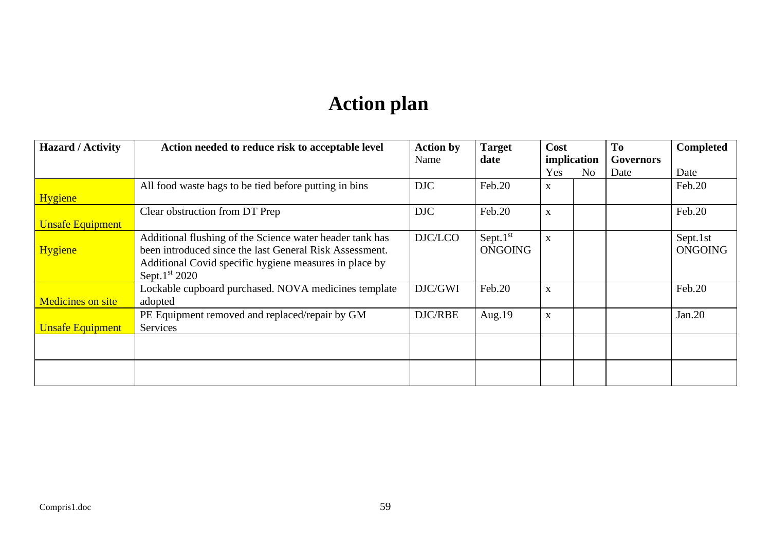## **Action plan**

| <b>Hazard / Activity</b> | Action needed to reduce risk to acceptable level                                                                                                                                                  | <b>Action by</b> | <b>Target</b>                 | Cost        |                | T <sub>0</sub>   | <b>Completed</b>           |
|--------------------------|---------------------------------------------------------------------------------------------------------------------------------------------------------------------------------------------------|------------------|-------------------------------|-------------|----------------|------------------|----------------------------|
|                          |                                                                                                                                                                                                   | Name             | date                          | implication |                | <b>Governors</b> |                            |
|                          |                                                                                                                                                                                                   |                  |                               | Yes         | N <sub>o</sub> | Date             | Date                       |
|                          | All food waste bags to be tied before putting in bins                                                                                                                                             | DJC              | Feb.20                        | X           |                |                  | Feb.20                     |
| <b>Hygiene</b>           |                                                                                                                                                                                                   |                  |                               |             |                |                  |                            |
|                          | Clear obstruction from DT Prep                                                                                                                                                                    | DJC              | Feb.20                        | X           |                |                  | Feb.20                     |
| <b>Unsafe Equipment</b>  |                                                                                                                                                                                                   |                  |                               |             |                |                  |                            |
| <b>Hygiene</b>           | Additional flushing of the Science water header tank has<br>been introduced since the last General Risk Assessment.<br>Additional Covid specific hygiene measures in place by<br>Sept. $1st 2020$ | DJC/LCO          | Sept. $1st$<br><b>ONGOING</b> | X           |                |                  | Sept.1st<br><b>ONGOING</b> |
| <b>Medicines on site</b> | Lockable cupboard purchased. NOVA medicines template<br>adopted                                                                                                                                   | DJC/GWI          | Feb.20                        | X           |                |                  | Feb.20                     |
| <b>Unsafe Equipment</b>  | PE Equipment removed and replaced/repair by GM<br>Services                                                                                                                                        | DJC/RBE          | Aug.19                        | X           |                |                  | Jan.20                     |
|                          |                                                                                                                                                                                                   |                  |                               |             |                |                  |                            |
|                          |                                                                                                                                                                                                   |                  |                               |             |                |                  |                            |